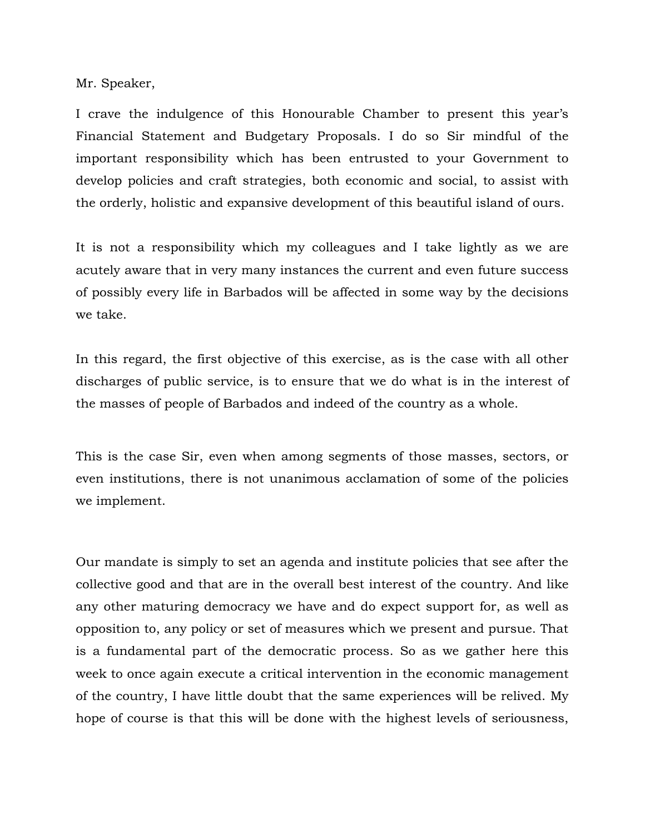Mr. Speaker,

I crave the indulgence of this Honourable Chamber to present this year's Financial Statement and Budgetary Proposals. I do so Sir mindful of the important responsibility which has been entrusted to your Government to develop policies and craft strategies, both economic and social, to assist with the orderly, holistic and expansive development of this beautiful island of ours.

It is not a responsibility which my colleagues and I take lightly as we are acutely aware that in very many instances the current and even future success of possibly every life in Barbados will be affected in some way by the decisions we take.

In this regard, the first objective of this exercise, as is the case with all other discharges of public service, is to ensure that we do what is in the interest of the masses of people of Barbados and indeed of the country as a whole.

This is the case Sir, even when among segments of those masses, sectors, or even institutions, there is not unanimous acclamation of some of the policies we implement.

Our mandate is simply to set an agenda and institute policies that see after the collective good and that are in the overall best interest of the country. And like any other maturing democracy we have and do expect support for, as well as opposition to, any policy or set of measures which we present and pursue. That is a fundamental part of the democratic process. So as we gather here this week to once again execute a critical intervention in the economic management of the country, I have little doubt that the same experiences will be relived. My hope of course is that this will be done with the highest levels of seriousness,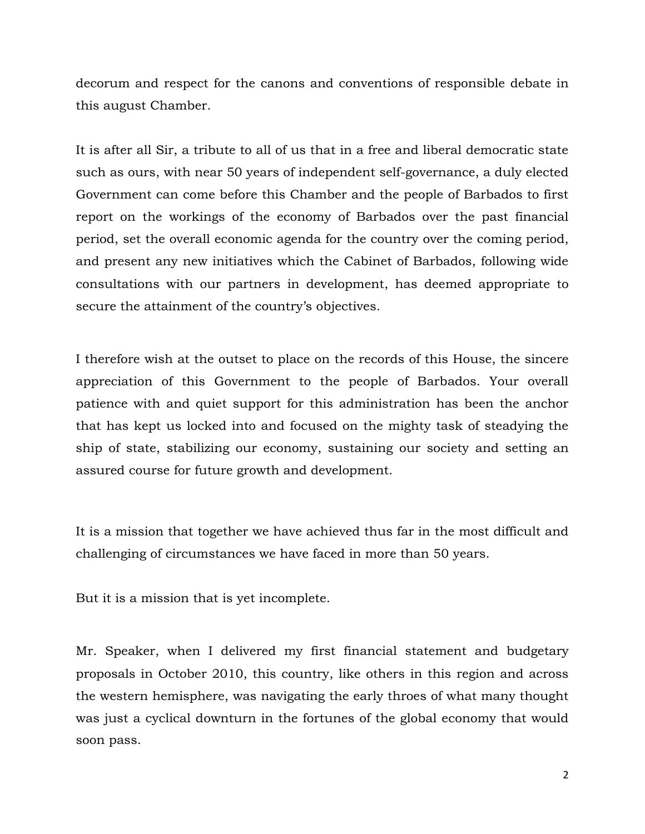decorum and respect for the canons and conventions of responsible debate in this august Chamber.

It is after all Sir, a tribute to all of us that in a free and liberal democratic state such as ours, with near 50 years of independent self-governance, a duly elected Government can come before this Chamber and the people of Barbados to first report on the workings of the economy of Barbados over the past financial period, set the overall economic agenda for the country over the coming period, and present any new initiatives which the Cabinet of Barbados, following wide consultations with our partners in development, has deemed appropriate to secure the attainment of the country's objectives.

I therefore wish at the outset to place on the records of this House, the sincere appreciation of this Government to the people of Barbados. Your overall patience with and quiet support for this administration has been the anchor that has kept us locked into and focused on the mighty task of steadying the ship of state, stabilizing our economy, sustaining our society and setting an assured course for future growth and development.

It is a mission that together we have achieved thus far in the most difficult and challenging of circumstances we have faced in more than 50 years.

But it is a mission that is yet incomplete.

Mr. Speaker, when I delivered my first financial statement and budgetary proposals in October 2010, this country, like others in this region and across the western hemisphere, was navigating the early throes of what many thought was just a cyclical downturn in the fortunes of the global economy that would soon pass.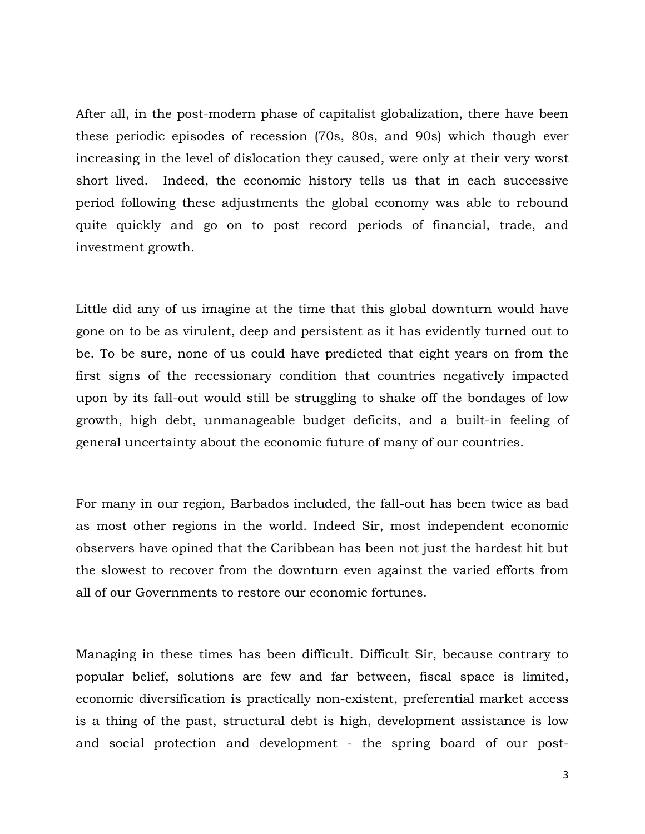After all, in the post-modern phase of capitalist globalization, there have been these periodic episodes of recession (70s, 80s, and 90s) which though ever increasing in the level of dislocation they caused, were only at their very worst short lived. Indeed, the economic history tells us that in each successive period following these adjustments the global economy was able to rebound quite quickly and go on to post record periods of financial, trade, and investment growth.

Little did any of us imagine at the time that this global downturn would have gone on to be as virulent, deep and persistent as it has evidently turned out to be. To be sure, none of us could have predicted that eight years on from the first signs of the recessionary condition that countries negatively impacted upon by its fall-out would still be struggling to shake off the bondages of low growth, high debt, unmanageable budget deficits, and a built-in feeling of general uncertainty about the economic future of many of our countries.

For many in our region, Barbados included, the fall-out has been twice as bad as most other regions in the world. Indeed Sir, most independent economic observers have opined that the Caribbean has been not just the hardest hit but the slowest to recover from the downturn even against the varied efforts from all of our Governments to restore our economic fortunes.

Managing in these times has been difficult. Difficult Sir, because contrary to popular belief, solutions are few and far between, fiscal space is limited, economic diversification is practically non-existent, preferential market access is a thing of the past, structural debt is high, development assistance is low and social protection and development - the spring board of our post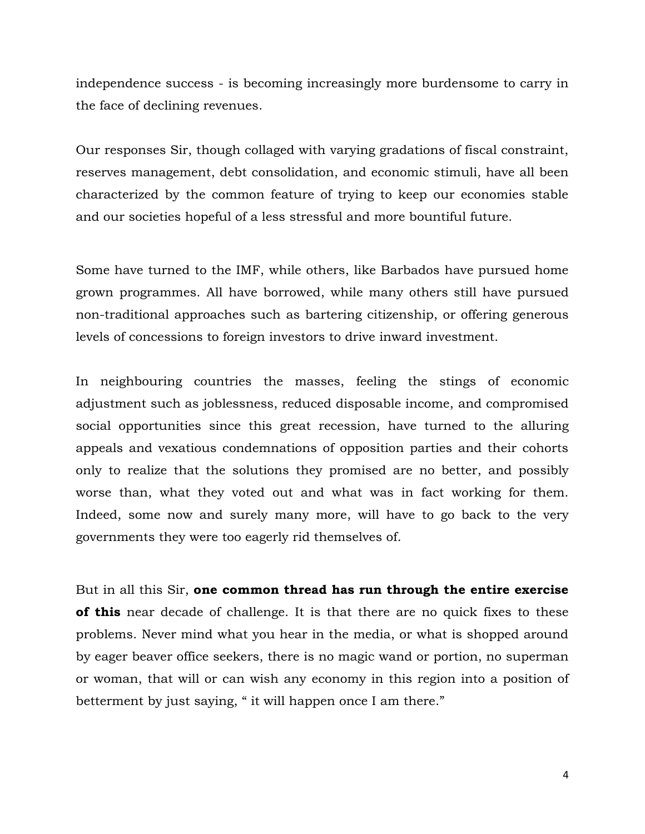independence success - is becoming increasingly more burdensome to carry in the face of declining revenues.

Our responses Sir, though collaged with varying gradations of fiscal constraint, reserves management, debt consolidation, and economic stimuli, have all been characterized by the common feature of trying to keep our economies stable and our societies hopeful of a less stressful and more bountiful future.

Some have turned to the IMF, while others, like Barbados have pursued home grown programmes. All have borrowed, while many others still have pursued non-traditional approaches such as bartering citizenship, or offering generous levels of concessions to foreign investors to drive inward investment.

In neighbouring countries the masses, feeling the stings of economic adjustment such as joblessness, reduced disposable income, and compromised social opportunities since this great recession, have turned to the alluring appeals and vexatious condemnations of opposition parties and their cohorts only to realize that the solutions they promised are no better, and possibly worse than, what they voted out and what was in fact working for them. Indeed, some now and surely many more, will have to go back to the very governments they were too eagerly rid themselves of.

But in all this Sir, **one common thread has run through the entire exercise of this** near decade of challenge. It is that there are no quick fixes to these problems. Never mind what you hear in the media, or what is shopped around by eager beaver office seekers, there is no magic wand or portion, no superman or woman, that will or can wish any economy in this region into a position of betterment by just saying, " it will happen once I am there."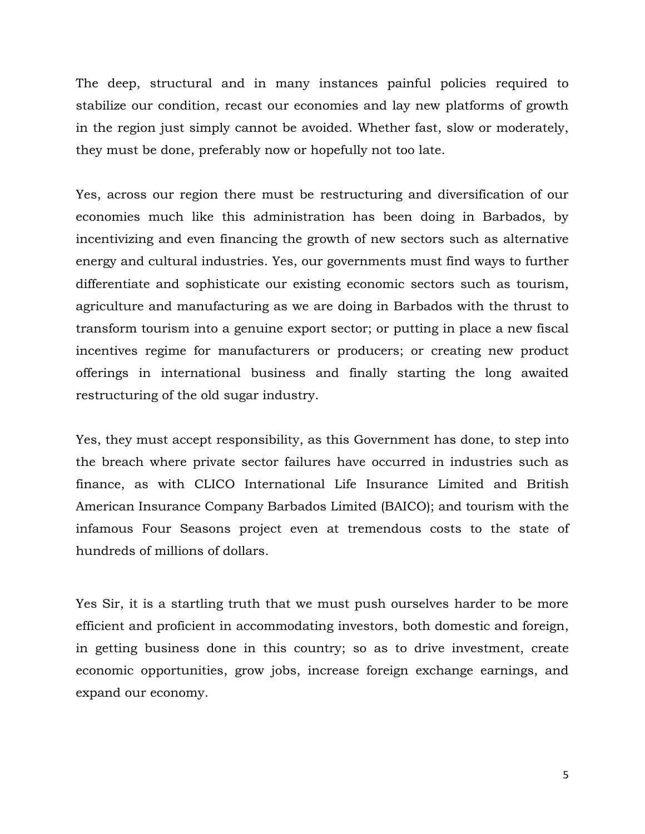The deep, structural and in many instances painful policies required to stabilize our condition, recast our economies and lay new platforms of growth in the region just simply cannot be avoided. Whether fast, slow or moderately, they must be done, preferably now or hopefully not too late.

Yes, across our region there must be restructuring and diversification of our economies much like this administration has been doing in Barbados, by incentivizing and even financing the growth of new sectors such as alternative energy and cultural industries. Yes, our governments must find ways to further differentiate and sophisticate our existing economic sectors such as tourism, agriculture and manufacturing as we are doing in Barbados with the thrust to transform tourism into a genuine export sector; or putting in place a new fiscal incentives regime for manufacturers or producers; or creating new product offerings in international business and finally starting the long awaited restructuring of the old sugar industry.

Yes, they must accept responsibility, as this Government has done, to step into the breach where private sector failures have occurred in industries such as finance, as with CLICO International Life Insurance Limited and British American Insurance Company Barbados Limited (BAICO); and tourism with the infamous Four Seasons project even at tremendous costs to the state of hundreds of millions of dollars.

Yes Sir, it is a startling truth that we must push ourselves harder to be more efficient and proficient in accommodating investors, both domestic and foreign, in getting business done in this country; so as to drive investment, create economic opportunities, grow jobs, increase foreign exchange earnings, and expand our economy.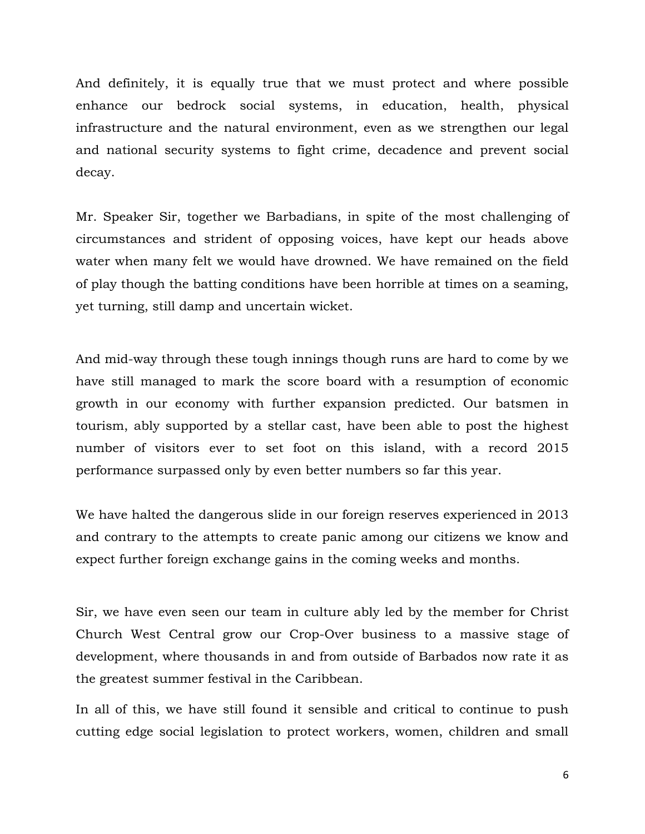And definitely, it is equally true that we must protect and where possible enhance our bedrock social systems, in education, health, physical infrastructure and the natural environment, even as we strengthen our legal and national security systems to fight crime, decadence and prevent social decay.

Mr. Speaker Sir, together we Barbadians, in spite of the most challenging of circumstances and strident of opposing voices, have kept our heads above water when many felt we would have drowned. We have remained on the field of play though the batting conditions have been horrible at times on a seaming, yet turning, still damp and uncertain wicket.

And mid-way through these tough innings though runs are hard to come by we have still managed to mark the score board with a resumption of economic growth in our economy with further expansion predicted. Our batsmen in tourism, ably supported by a stellar cast, have been able to post the highest number of visitors ever to set foot on this island, with a record 2015 performance surpassed only by even better numbers so far this year.

We have halted the dangerous slide in our foreign reserves experienced in 2013 and contrary to the attempts to create panic among our citizens we know and expect further foreign exchange gains in the coming weeks and months.

Sir, we have even seen our team in culture ably led by the member for Christ Church West Central grow our Crop-Over business to a massive stage of development, where thousands in and from outside of Barbados now rate it as the greatest summer festival in the Caribbean.

In all of this, we have still found it sensible and critical to continue to push cutting edge social legislation to protect workers, women, children and small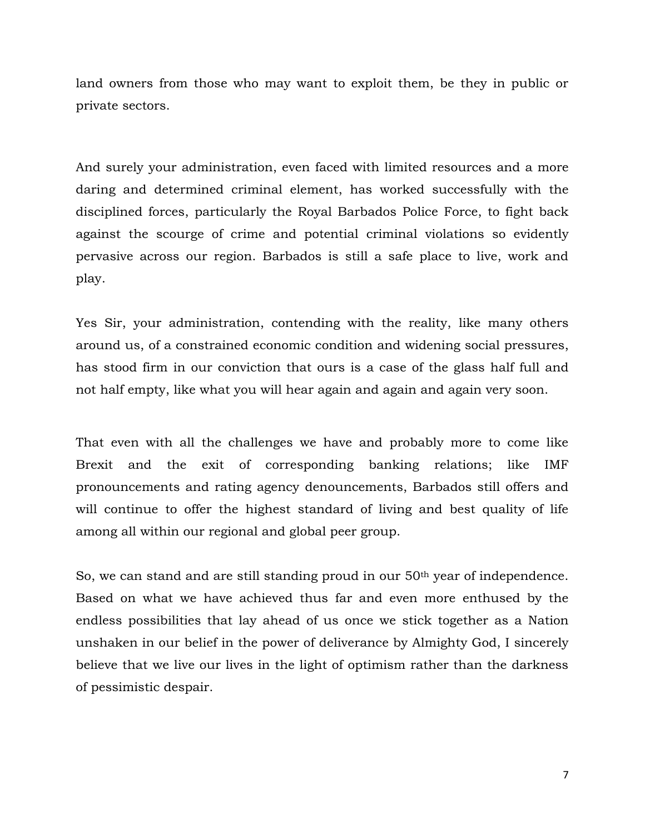land owners from those who may want to exploit them, be they in public or private sectors.

And surely your administration, even faced with limited resources and a more daring and determined criminal element, has worked successfully with the disciplined forces, particularly the Royal Barbados Police Force, to fight back against the scourge of crime and potential criminal violations so evidently pervasive across our region. Barbados is still a safe place to live, work and play.

Yes Sir, your administration, contending with the reality, like many others around us, of a constrained economic condition and widening social pressures, has stood firm in our conviction that ours is a case of the glass half full and not half empty, like what you will hear again and again and again very soon.

That even with all the challenges we have and probably more to come like Brexit and the exit of corresponding banking relations; like IMF pronouncements and rating agency denouncements, Barbados still offers and will continue to offer the highest standard of living and best quality of life among all within our regional and global peer group.

So, we can stand and are still standing proud in our 50<sup>th</sup> year of independence. Based on what we have achieved thus far and even more enthused by the endless possibilities that lay ahead of us once we stick together as a Nation unshaken in our belief in the power of deliverance by Almighty God, I sincerely believe that we live our lives in the light of optimism rather than the darkness of pessimistic despair.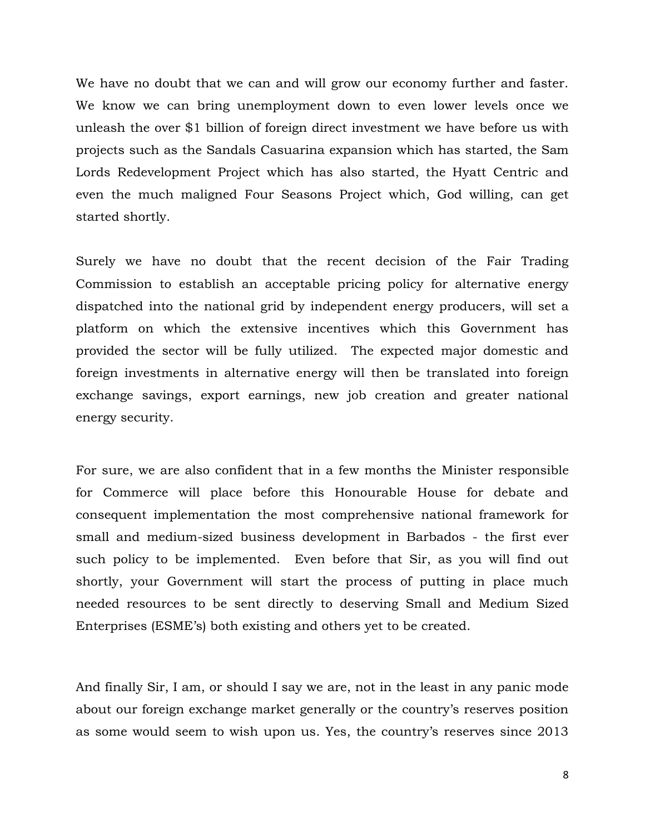We have no doubt that we can and will grow our economy further and faster. We know we can bring unemployment down to even lower levels once we unleash the over \$1 billion of foreign direct investment we have before us with projects such as the Sandals Casuarina expansion which has started, the Sam Lords Redevelopment Project which has also started, the Hyatt Centric and even the much maligned Four Seasons Project which, God willing, can get started shortly.

Surely we have no doubt that the recent decision of the Fair Trading Commission to establish an acceptable pricing policy for alternative energy dispatched into the national grid by independent energy producers, will set a platform on which the extensive incentives which this Government has provided the sector will be fully utilized. The expected major domestic and foreign investments in alternative energy will then be translated into foreign exchange savings, export earnings, new job creation and greater national energy security.

For sure, we are also confident that in a few months the Minister responsible for Commerce will place before this Honourable House for debate and consequent implementation the most comprehensive national framework for small and medium-sized business development in Barbados - the first ever such policy to be implemented. Even before that Sir, as you will find out shortly, your Government will start the process of putting in place much needed resources to be sent directly to deserving Small and Medium Sized Enterprises (ESME's) both existing and others yet to be created.

And finally Sir, I am, or should I say we are, not in the least in any panic mode about our foreign exchange market generally or the country's reserves position as some would seem to wish upon us. Yes, the country's reserves since 2013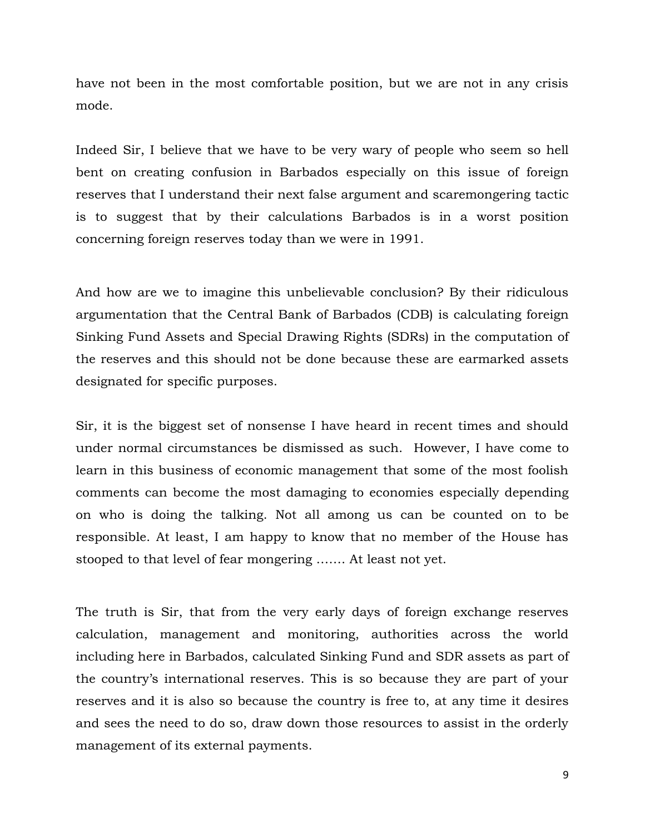have not been in the most comfortable position, but we are not in any crisis mode.

Indeed Sir, I believe that we have to be very wary of people who seem so hell bent on creating confusion in Barbados especially on this issue of foreign reserves that I understand their next false argument and scaremongering tactic is to suggest that by their calculations Barbados is in a worst position concerning foreign reserves today than we were in 1991.

And how are we to imagine this unbelievable conclusion? By their ridiculous argumentation that the Central Bank of Barbados (CDB) is calculating foreign Sinking Fund Assets and Special Drawing Rights (SDRs) in the computation of the reserves and this should not be done because these are earmarked assets designated for specific purposes.

Sir, it is the biggest set of nonsense I have heard in recent times and should under normal circumstances be dismissed as such. However, I have come to learn in this business of economic management that some of the most foolish comments can become the most damaging to economies especially depending on who is doing the talking. Not all among us can be counted on to be responsible. At least, I am happy to know that no member of the House has stooped to that level of fear mongering ……. At least not yet.

The truth is Sir, that from the very early days of foreign exchange reserves calculation, management and monitoring, authorities across the world including here in Barbados, calculated Sinking Fund and SDR assets as part of the country's international reserves. This is so because they are part of your reserves and it is also so because the country is free to, at any time it desires and sees the need to do so, draw down those resources to assist in the orderly management of its external payments.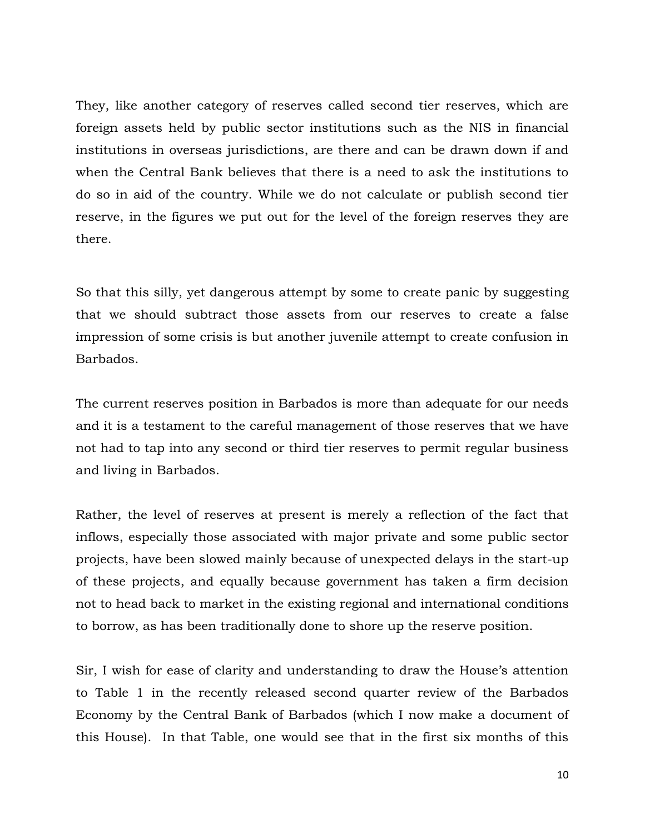They, like another category of reserves called second tier reserves, which are foreign assets held by public sector institutions such as the NIS in financial institutions in overseas jurisdictions, are there and can be drawn down if and when the Central Bank believes that there is a need to ask the institutions to do so in aid of the country. While we do not calculate or publish second tier reserve, in the figures we put out for the level of the foreign reserves they are there.

So that this silly, yet dangerous attempt by some to create panic by suggesting that we should subtract those assets from our reserves to create a false impression of some crisis is but another juvenile attempt to create confusion in Barbados.

The current reserves position in Barbados is more than adequate for our needs and it is a testament to the careful management of those reserves that we have not had to tap into any second or third tier reserves to permit regular business and living in Barbados.

Rather, the level of reserves at present is merely a reflection of the fact that inflows, especially those associated with major private and some public sector projects, have been slowed mainly because of unexpected delays in the start-up of these projects, and equally because government has taken a firm decision not to head back to market in the existing regional and international conditions to borrow, as has been traditionally done to shore up the reserve position.

Sir, I wish for ease of clarity and understanding to draw the House's attention to Table 1 in the recently released second quarter review of the Barbados Economy by the Central Bank of Barbados (which I now make a document of this House). In that Table, one would see that in the first six months of this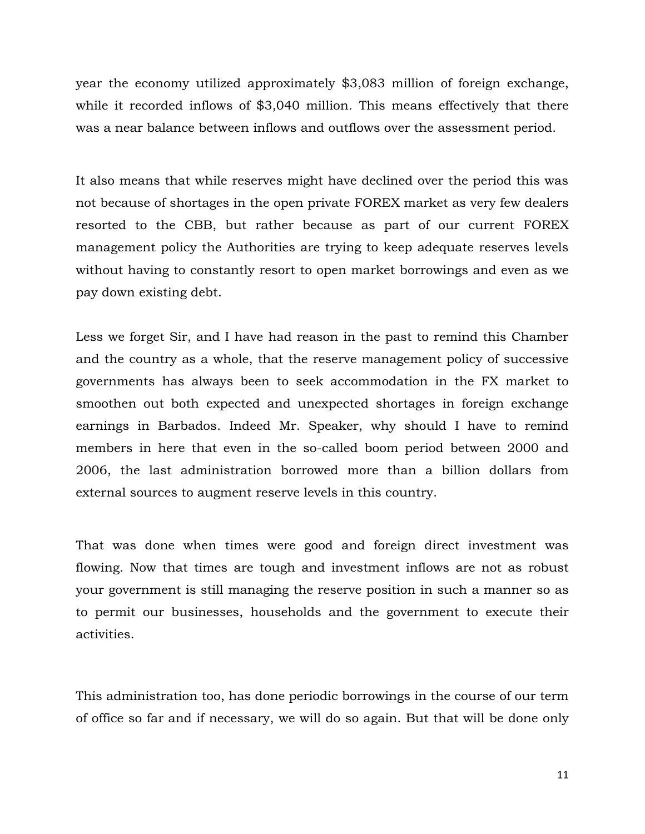year the economy utilized approximately \$3,083 million of foreign exchange, while it recorded inflows of \$3,040 million. This means effectively that there was a near balance between inflows and outflows over the assessment period.

It also means that while reserves might have declined over the period this was not because of shortages in the open private FOREX market as very few dealers resorted to the CBB, but rather because as part of our current FOREX management policy the Authorities are trying to keep adequate reserves levels without having to constantly resort to open market borrowings and even as we pay down existing debt.

Less we forget Sir, and I have had reason in the past to remind this Chamber and the country as a whole, that the reserve management policy of successive governments has always been to seek accommodation in the FX market to smoothen out both expected and unexpected shortages in foreign exchange earnings in Barbados. Indeed Mr. Speaker, why should I have to remind members in here that even in the so-called boom period between 2000 and 2006, the last administration borrowed more than a billion dollars from external sources to augment reserve levels in this country.

That was done when times were good and foreign direct investment was flowing. Now that times are tough and investment inflows are not as robust your government is still managing the reserve position in such a manner so as to permit our businesses, households and the government to execute their activities.

This administration too, has done periodic borrowings in the course of our term of office so far and if necessary, we will do so again. But that will be done only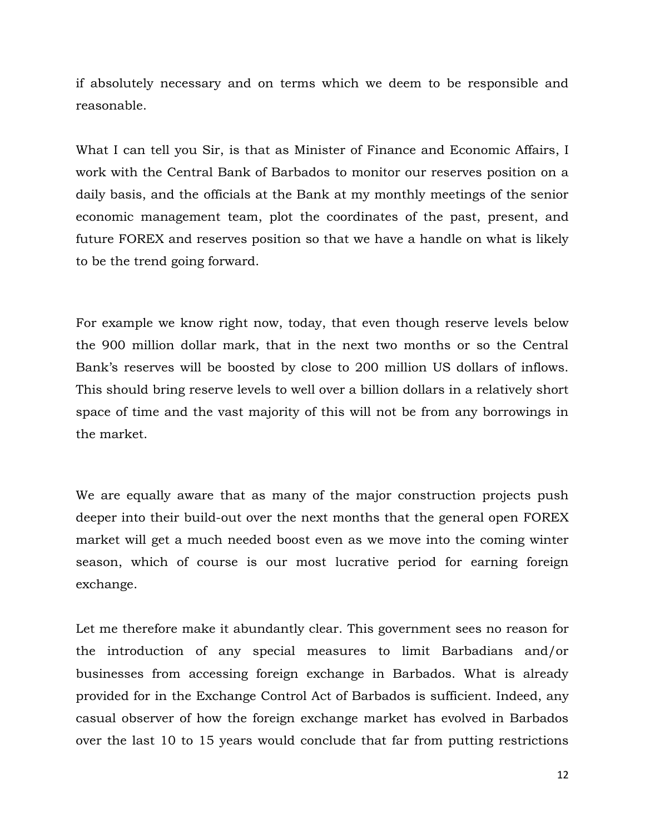if absolutely necessary and on terms which we deem to be responsible and reasonable.

What I can tell you Sir, is that as Minister of Finance and Economic Affairs, I work with the Central Bank of Barbados to monitor our reserves position on a daily basis, and the officials at the Bank at my monthly meetings of the senior economic management team, plot the coordinates of the past, present, and future FOREX and reserves position so that we have a handle on what is likely to be the trend going forward.

For example we know right now, today, that even though reserve levels below the 900 million dollar mark, that in the next two months or so the Central Bank's reserves will be boosted by close to 200 million US dollars of inflows. This should bring reserve levels to well over a billion dollars in a relatively short space of time and the vast majority of this will not be from any borrowings in the market.

We are equally aware that as many of the major construction projects push deeper into their build-out over the next months that the general open FOREX market will get a much needed boost even as we move into the coming winter season, which of course is our most lucrative period for earning foreign exchange.

Let me therefore make it abundantly clear. This government sees no reason for the introduction of any special measures to limit Barbadians and/or businesses from accessing foreign exchange in Barbados. What is already provided for in the Exchange Control Act of Barbados is sufficient. Indeed, any casual observer of how the foreign exchange market has evolved in Barbados over the last 10 to 15 years would conclude that far from putting restrictions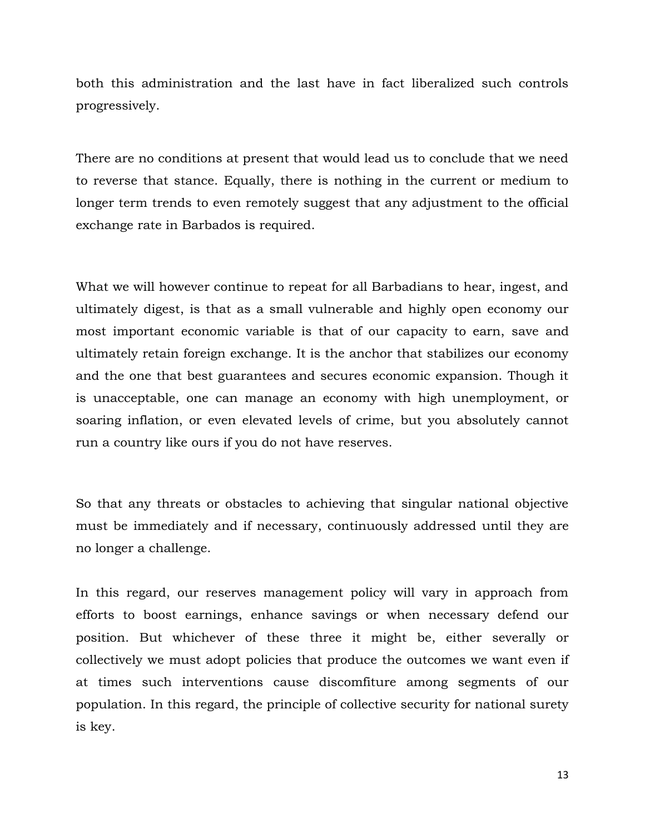both this administration and the last have in fact liberalized such controls progressively.

There are no conditions at present that would lead us to conclude that we need to reverse that stance. Equally, there is nothing in the current or medium to longer term trends to even remotely suggest that any adjustment to the official exchange rate in Barbados is required.

What we will however continue to repeat for all Barbadians to hear, ingest, and ultimately digest, is that as a small vulnerable and highly open economy our most important economic variable is that of our capacity to earn, save and ultimately retain foreign exchange. It is the anchor that stabilizes our economy and the one that best guarantees and secures economic expansion. Though it is unacceptable, one can manage an economy with high unemployment, or soaring inflation, or even elevated levels of crime, but you absolutely cannot run a country like ours if you do not have reserves.

So that any threats or obstacles to achieving that singular national objective must be immediately and if necessary, continuously addressed until they are no longer a challenge.

In this regard, our reserves management policy will vary in approach from efforts to boost earnings, enhance savings or when necessary defend our position. But whichever of these three it might be, either severally or collectively we must adopt policies that produce the outcomes we want even if at times such interventions cause discomfiture among segments of our population. In this regard, the principle of collective security for national surety is key.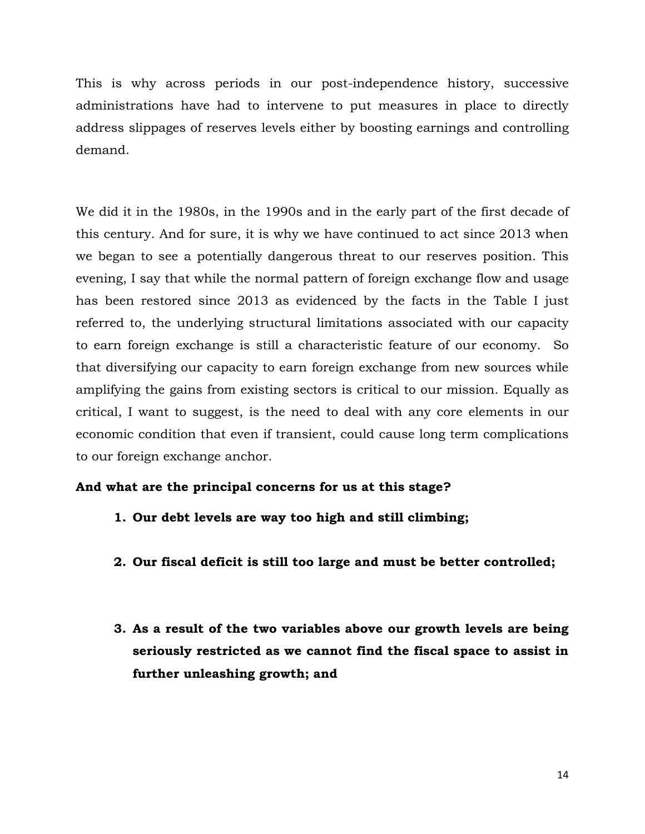This is why across periods in our post-independence history, successive administrations have had to intervene to put measures in place to directly address slippages of reserves levels either by boosting earnings and controlling demand.

We did it in the 1980s, in the 1990s and in the early part of the first decade of this century. And for sure, it is why we have continued to act since 2013 when we began to see a potentially dangerous threat to our reserves position. This evening, I say that while the normal pattern of foreign exchange flow and usage has been restored since 2013 as evidenced by the facts in the Table I just referred to, the underlying structural limitations associated with our capacity to earn foreign exchange is still a characteristic feature of our economy. So that diversifying our capacity to earn foreign exchange from new sources while amplifying the gains from existing sectors is critical to our mission. Equally as critical, I want to suggest, is the need to deal with any core elements in our economic condition that even if transient, could cause long term complications to our foreign exchange anchor.

# **And what are the principal concerns for us at this stage?**

- **1. Our debt levels are way too high and still climbing;**
- **2. Our fiscal deficit is still too large and must be better controlled;**
- **3. As a result of the two variables above our growth levels are being seriously restricted as we cannot find the fiscal space to assist in further unleashing growth; and**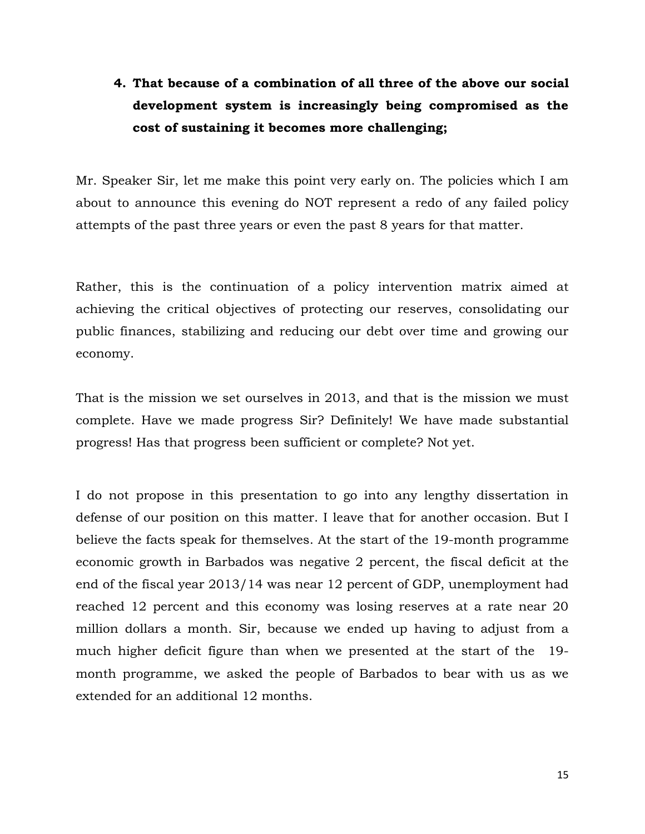# **4. That because of a combination of all three of the above our social development system is increasingly being compromised as the cost of sustaining it becomes more challenging;**

Mr. Speaker Sir, let me make this point very early on. The policies which I am about to announce this evening do NOT represent a redo of any failed policy attempts of the past three years or even the past 8 years for that matter.

Rather, this is the continuation of a policy intervention matrix aimed at achieving the critical objectives of protecting our reserves, consolidating our public finances, stabilizing and reducing our debt over time and growing our economy.

That is the mission we set ourselves in 2013, and that is the mission we must complete. Have we made progress Sir? Definitely! We have made substantial progress! Has that progress been sufficient or complete? Not yet.

I do not propose in this presentation to go into any lengthy dissertation in defense of our position on this matter. I leave that for another occasion. But I believe the facts speak for themselves. At the start of the 19-month programme economic growth in Barbados was negative 2 percent, the fiscal deficit at the end of the fiscal year 2013/14 was near 12 percent of GDP, unemployment had reached 12 percent and this economy was losing reserves at a rate near 20 million dollars a month. Sir, because we ended up having to adjust from a much higher deficit figure than when we presented at the start of the 19 month programme, we asked the people of Barbados to bear with us as we extended for an additional 12 months.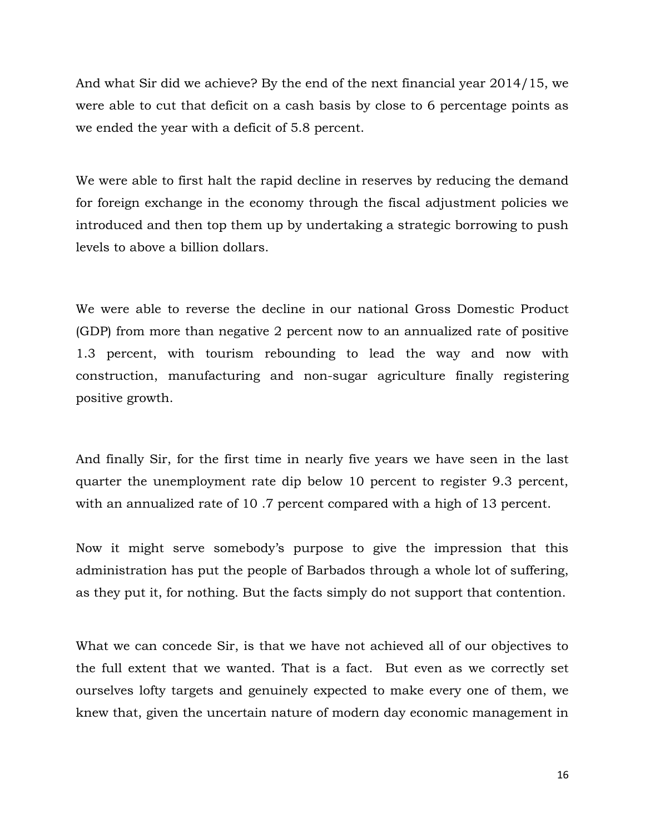And what Sir did we achieve? By the end of the next financial year 2014/15, we were able to cut that deficit on a cash basis by close to 6 percentage points as we ended the year with a deficit of 5.8 percent.

We were able to first halt the rapid decline in reserves by reducing the demand for foreign exchange in the economy through the fiscal adjustment policies we introduced and then top them up by undertaking a strategic borrowing to push levels to above a billion dollars.

We were able to reverse the decline in our national Gross Domestic Product (GDP) from more than negative 2 percent now to an annualized rate of positive 1.3 percent, with tourism rebounding to lead the way and now with construction, manufacturing and non-sugar agriculture finally registering positive growth.

And finally Sir, for the first time in nearly five years we have seen in the last quarter the unemployment rate dip below 10 percent to register 9.3 percent, with an annualized rate of 10 .7 percent compared with a high of 13 percent.

Now it might serve somebody's purpose to give the impression that this administration has put the people of Barbados through a whole lot of suffering, as they put it, for nothing. But the facts simply do not support that contention.

What we can concede Sir, is that we have not achieved all of our objectives to the full extent that we wanted. That is a fact. But even as we correctly set ourselves lofty targets and genuinely expected to make every one of them, we knew that, given the uncertain nature of modern day economic management in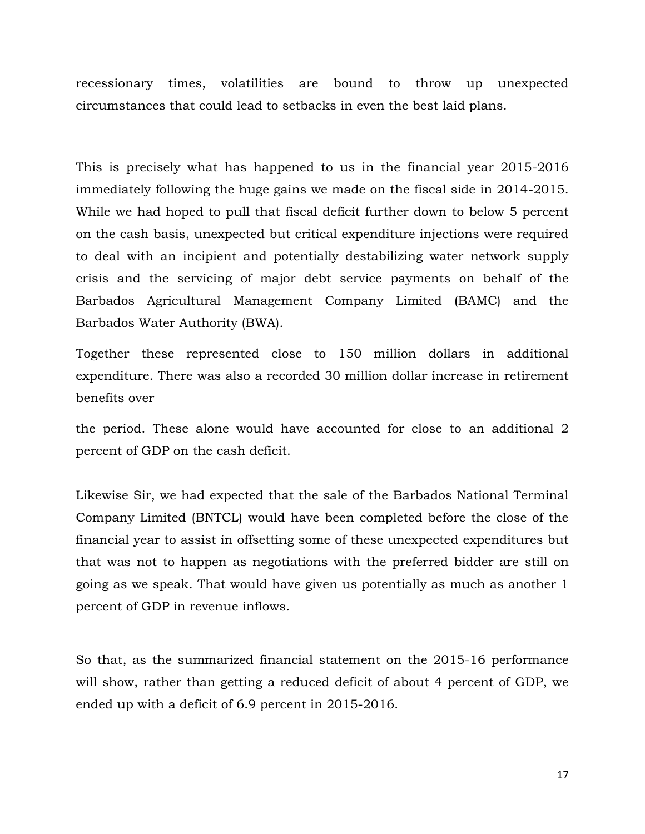recessionary times, volatilities are bound to throw up unexpected circumstances that could lead to setbacks in even the best laid plans.

This is precisely what has happened to us in the financial year 2015-2016 immediately following the huge gains we made on the fiscal side in 2014-2015. While we had hoped to pull that fiscal deficit further down to below 5 percent on the cash basis, unexpected but critical expenditure injections were required to deal with an incipient and potentially destabilizing water network supply crisis and the servicing of major debt service payments on behalf of the Barbados Agricultural Management Company Limited (BAMC) and the Barbados Water Authority (BWA).

Together these represented close to 150 million dollars in additional expenditure. There was also a recorded 30 million dollar increase in retirement benefits over

the period. These alone would have accounted for close to an additional 2 percent of GDP on the cash deficit.

Likewise Sir, we had expected that the sale of the Barbados National Terminal Company Limited (BNTCL) would have been completed before the close of the financial year to assist in offsetting some of these unexpected expenditures but that was not to happen as negotiations with the preferred bidder are still on going as we speak. That would have given us potentially as much as another 1 percent of GDP in revenue inflows.

So that, as the summarized financial statement on the 2015-16 performance will show, rather than getting a reduced deficit of about 4 percent of GDP, we ended up with a deficit of 6.9 percent in 2015-2016.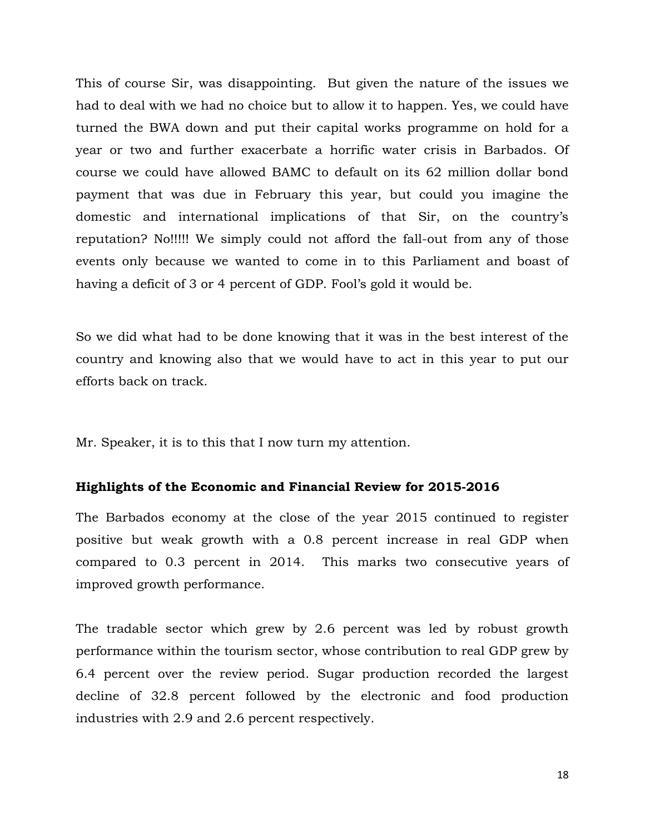This of course Sir, was disappointing. But given the nature of the issues we had to deal with we had no choice but to allow it to happen. Yes, we could have turned the BWA down and put their capital works programme on hold for a year or two and further exacerbate a horrific water crisis in Barbados. Of course we could have allowed BAMC to default on its 62 million dollar bond payment that was due in February this year, but could you imagine the domestic and international implications of that Sir, on the country's reputation? No!!!!! We simply could not afford the fall-out from any of those events only because we wanted to come in to this Parliament and boast of having a deficit of 3 or 4 percent of GDP. Fool's gold it would be.

So we did what had to be done knowing that it was in the best interest of the country and knowing also that we would have to act in this year to put our efforts back on track.

Mr. Speaker, it is to this that I now turn my attention.

## **Highlights of the Economic and Financial Review for 2015-2016**

The Barbados economy at the close of the year 2015 continued to register positive but weak growth with a 0.8 percent increase in real GDP when compared to 0.3 percent in 2014. This marks two consecutive years of improved growth performance.

The tradable sector which grew by 2.6 percent was led by robust growth performance within the tourism sector, whose contribution to real GDP grew by 6.4 percent over the review period. Sugar production recorded the largest decline of 32.8 percent followed by the electronic and food production industries with 2.9 and 2.6 percent respectively.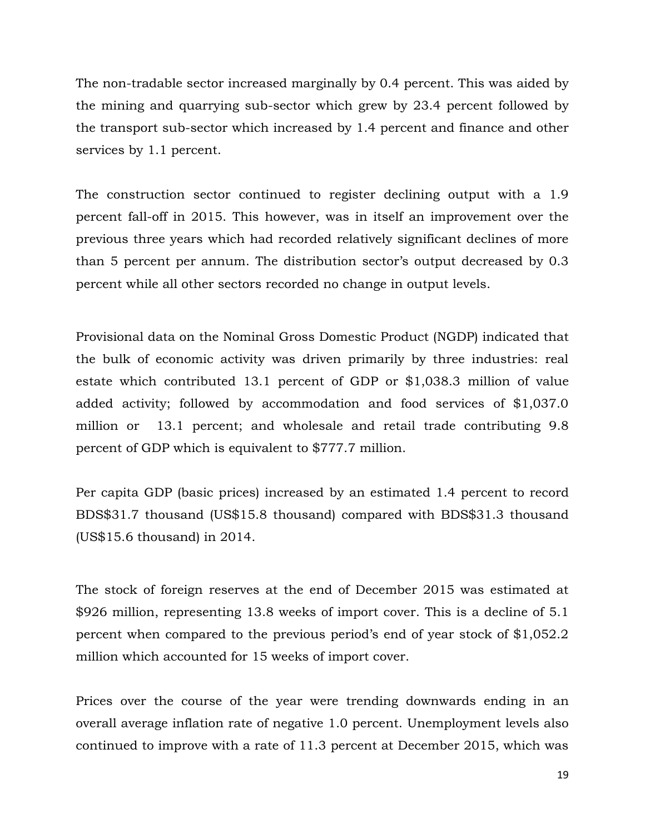The non-tradable sector increased marginally by 0.4 percent. This was aided by the mining and quarrying sub-sector which grew by 23.4 percent followed by the transport sub-sector which increased by 1.4 percent and finance and other services by 1.1 percent.

The construction sector continued to register declining output with a 1.9 percent fall-off in 2015. This however, was in itself an improvement over the previous three years which had recorded relatively significant declines of more than 5 percent per annum. The distribution sector's output decreased by 0.3 percent while all other sectors recorded no change in output levels.

Provisional data on the Nominal Gross Domestic Product (NGDP) indicated that the bulk of economic activity was driven primarily by three industries: real estate which contributed 13.1 percent of GDP or \$1,038.3 million of value added activity; followed by accommodation and food services of \$1,037.0 million or 13.1 percent; and wholesale and retail trade contributing 9.8 percent of GDP which is equivalent to \$777.7 million.

Per capita GDP (basic prices) increased by an estimated 1.4 percent to record BDS\$31.7 thousand (US\$15.8 thousand) compared with BDS\$31.3 thousand (US\$15.6 thousand) in 2014.

The stock of foreign reserves at the end of December 2015 was estimated at \$926 million, representing 13.8 weeks of import cover. This is a decline of 5.1 percent when compared to the previous period's end of year stock of \$1,052.2 million which accounted for 15 weeks of import cover.

Prices over the course of the year were trending downwards ending in an overall average inflation rate of negative 1.0 percent. Unemployment levels also continued to improve with a rate of 11.3 percent at December 2015, which was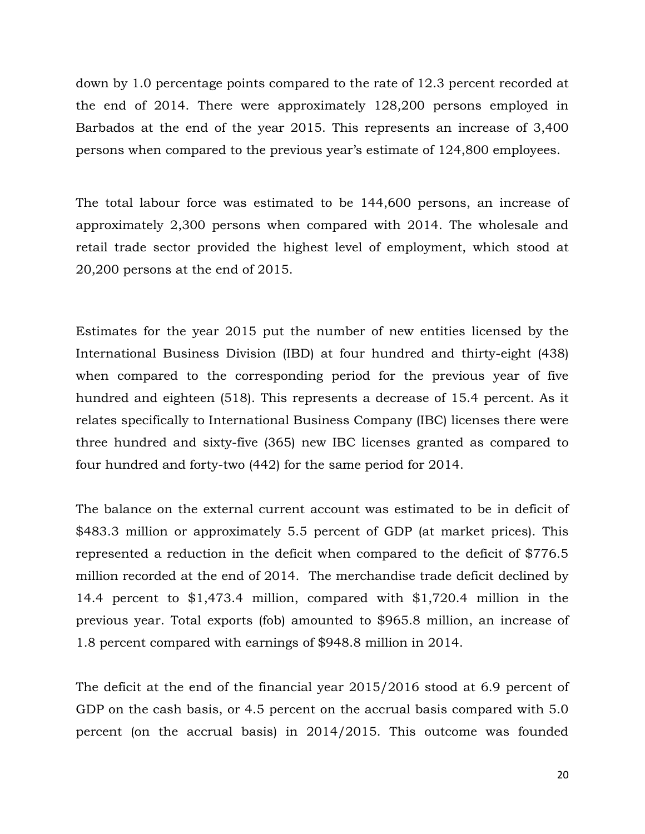down by 1.0 percentage points compared to the rate of 12.3 percent recorded at the end of 2014. There were approximately 128,200 persons employed in Barbados at the end of the year 2015. This represents an increase of 3,400 persons when compared to the previous year's estimate of 124,800 employees.

The total labour force was estimated to be 144,600 persons, an increase of approximately 2,300 persons when compared with 2014. The wholesale and retail trade sector provided the highest level of employment, which stood at 20,200 persons at the end of 2015.

Estimates for the year 2015 put the number of new entities licensed by the International Business Division (IBD) at four hundred and thirty-eight (438) when compared to the corresponding period for the previous year of five hundred and eighteen (518). This represents a decrease of 15.4 percent. As it relates specifically to International Business Company (IBC) licenses there were three hundred and sixty-five (365) new IBC licenses granted as compared to four hundred and forty-two (442) for the same period for 2014.

The balance on the external current account was estimated to be in deficit of \$483.3 million or approximately 5.5 percent of GDP (at market prices). This represented a reduction in the deficit when compared to the deficit of \$776.5 million recorded at the end of 2014. The merchandise trade deficit declined by 14.4 percent to \$1,473.4 million, compared with \$1,720.4 million in the previous year. Total exports (fob) amounted to \$965.8 million, an increase of 1.8 percent compared with earnings of \$948.8 million in 2014.

The deficit at the end of the financial year 2015/2016 stood at 6.9 percent of GDP on the cash basis, or 4.5 percent on the accrual basis compared with 5.0 percent (on the accrual basis) in 2014/2015. This outcome was founded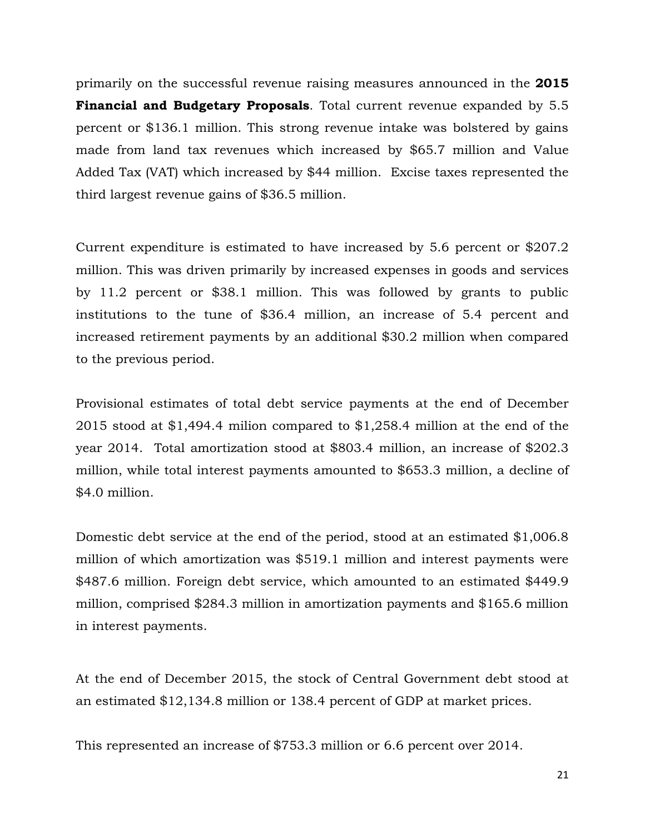primarily on the successful revenue raising measures announced in the **2015 Financial and Budgetary Proposals**. Total current revenue expanded by 5.5 percent or \$136.1 million. This strong revenue intake was bolstered by gains made from land tax revenues which increased by \$65.7 million and Value Added Tax (VAT) which increased by \$44 million. Excise taxes represented the third largest revenue gains of \$36.5 million.

Current expenditure is estimated to have increased by 5.6 percent or \$207.2 million. This was driven primarily by increased expenses in goods and services by 11.2 percent or \$38.1 million. This was followed by grants to public institutions to the tune of \$36.4 million, an increase of 5.4 percent and increased retirement payments by an additional \$30.2 million when compared to the previous period.

Provisional estimates of total debt service payments at the end of December 2015 stood at \$1,494.4 milion compared to \$1,258.4 million at the end of the year 2014. Total amortization stood at \$803.4 million, an increase of \$202.3 million, while total interest payments amounted to \$653.3 million, a decline of \$4.0 million.

Domestic debt service at the end of the period, stood at an estimated \$1,006.8 million of which amortization was \$519.1 million and interest payments were \$487.6 million. Foreign debt service, which amounted to an estimated \$449.9 million, comprised \$284.3 million in amortization payments and \$165.6 million in interest payments.

At the end of December 2015, the stock of Central Government debt stood at an estimated \$12,134.8 million or 138.4 percent of GDP at market prices.

This represented an increase of \$753.3 million or 6.6 percent over 2014.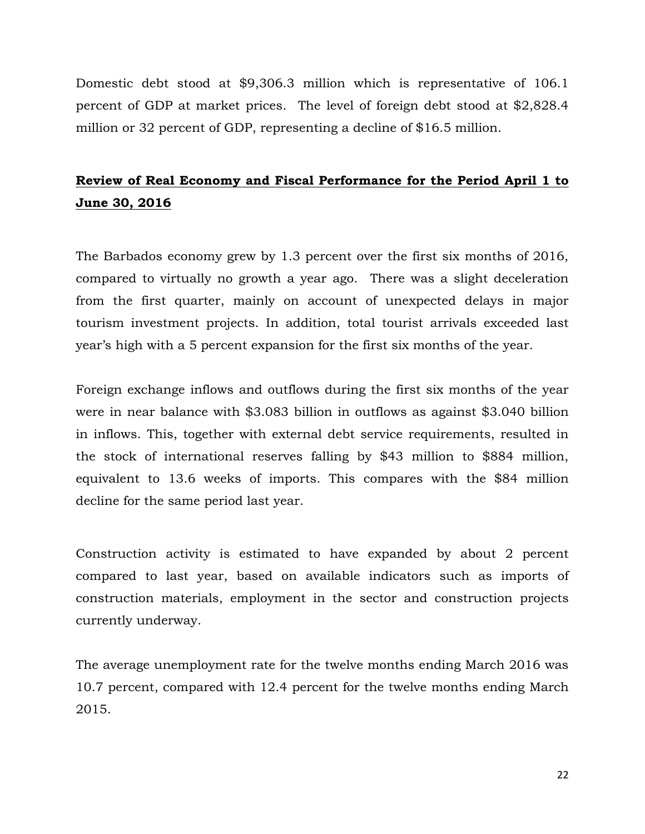Domestic debt stood at \$9,306.3 million which is representative of 106.1 percent of GDP at market prices. The level of foreign debt stood at \$2,828.4 million or 32 percent of GDP, representing a decline of \$16.5 million.

# **Review of Real Economy and Fiscal Performance for the Period April 1 to June 30, 2016**

The Barbados economy grew by 1.3 percent over the first six months of 2016, compared to virtually no growth a year ago. There was a slight deceleration from the first quarter, mainly on account of unexpected delays in major tourism investment projects. In addition, total tourist arrivals exceeded last year's high with a 5 percent expansion for the first six months of the year.

Foreign exchange inflows and outflows during the first six months of the year were in near balance with \$3.083 billion in outflows as against \$3.040 billion in inflows. This, together with external debt service requirements, resulted in the stock of international reserves falling by \$43 million to \$884 million, equivalent to 13.6 weeks of imports. This compares with the \$84 million decline for the same period last year.

Construction activity is estimated to have expanded by about 2 percent compared to last year, based on available indicators such as imports of construction materials, employment in the sector and construction projects currently underway.

The average unemployment rate for the twelve months ending March 2016 was 10.7 percent, compared with 12.4 percent for the twelve months ending March 2015.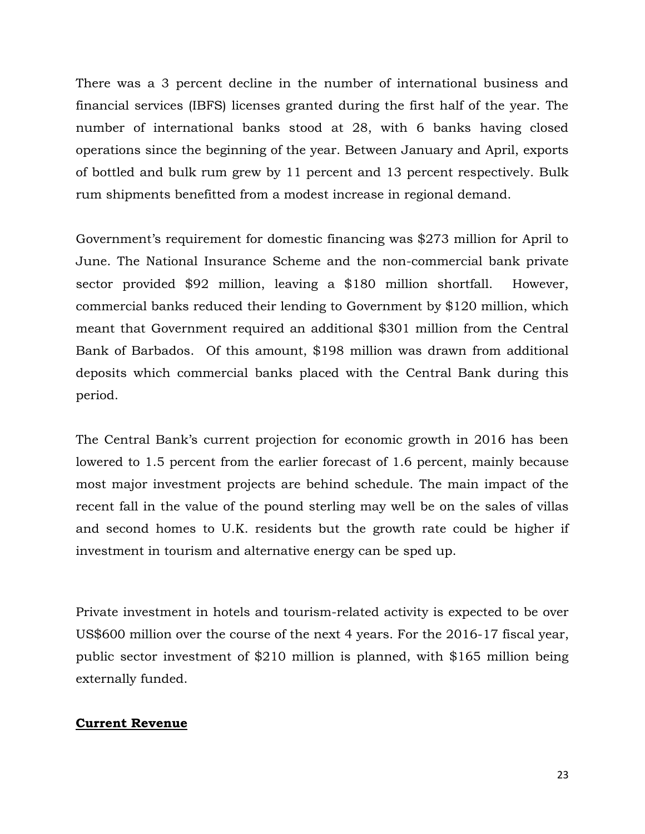There was a 3 percent decline in the number of international business and financial services (IBFS) licenses granted during the first half of the year. The number of international banks stood at 28, with 6 banks having closed operations since the beginning of the year. Between January and April, exports of bottled and bulk rum grew by 11 percent and 13 percent respectively. Bulk rum shipments benefitted from a modest increase in regional demand.

Government's requirement for domestic financing was \$273 million for April to June. The National Insurance Scheme and the non-commercial bank private sector provided \$92 million, leaving a \$180 million shortfall. However, commercial banks reduced their lending to Government by \$120 million, which meant that Government required an additional \$301 million from the Central Bank of Barbados. Of this amount, \$198 million was drawn from additional deposits which commercial banks placed with the Central Bank during this period.

The Central Bank's current projection for economic growth in 2016 has been lowered to 1.5 percent from the earlier forecast of 1.6 percent, mainly because most major investment projects are behind schedule. The main impact of the recent fall in the value of the pound sterling may well be on the sales of villas and second homes to U.K. residents but the growth rate could be higher if investment in tourism and alternative energy can be sped up.

Private investment in hotels and tourism-related activity is expected to be over US\$600 million over the course of the next 4 years. For the 2016-17 fiscal year, public sector investment of \$210 million is planned, with \$165 million being externally funded.

## **Current Revenue**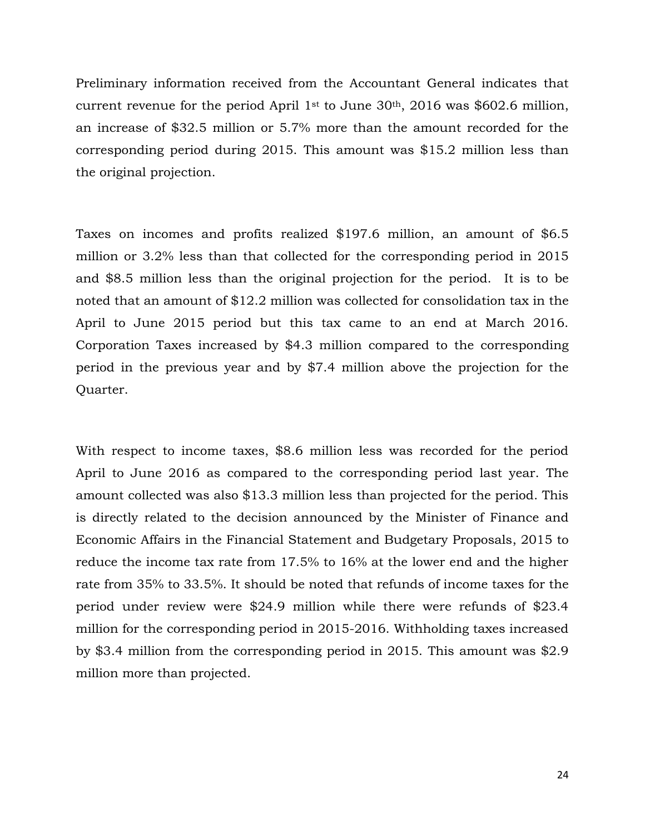Preliminary information received from the Accountant General indicates that current revenue for the period April 1st to June  $30<sup>th</sup>$ , 2016 was \$602.6 million, an increase of \$32.5 million or 5.7% more than the amount recorded for the corresponding period during 2015. This amount was \$15.2 million less than the original projection.

Taxes on incomes and profits realized \$197.6 million, an amount of \$6.5 million or 3.2% less than that collected for the corresponding period in 2015 and \$8.5 million less than the original projection for the period. It is to be noted that an amount of \$12.2 million was collected for consolidation tax in the April to June 2015 period but this tax came to an end at March 2016. Corporation Taxes increased by \$4.3 million compared to the corresponding period in the previous year and by \$7.4 million above the projection for the Quarter.

With respect to income taxes, \$8.6 million less was recorded for the period April to June 2016 as compared to the corresponding period last year. The amount collected was also \$13.3 million less than projected for the period. This is directly related to the decision announced by the Minister of Finance and Economic Affairs in the Financial Statement and Budgetary Proposals, 2015 to reduce the income tax rate from 17.5% to 16% at the lower end and the higher rate from 35% to 33.5%. It should be noted that refunds of income taxes for the period under review were \$24.9 million while there were refunds of \$23.4 million for the corresponding period in 2015-2016. Withholding taxes increased by \$3.4 million from the corresponding period in 2015. This amount was \$2.9 million more than projected.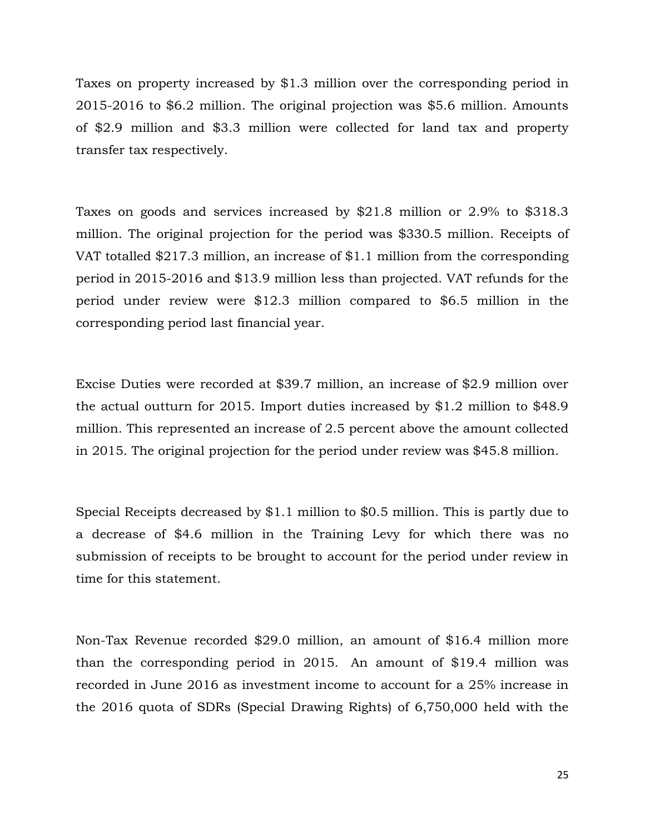Taxes on property increased by \$1.3 million over the corresponding period in 2015-2016 to \$6.2 million. The original projection was \$5.6 million. Amounts of \$2.9 million and \$3.3 million were collected for land tax and property transfer tax respectively.

Taxes on goods and services increased by \$21.8 million or 2.9% to \$318.3 million. The original projection for the period was \$330.5 million. Receipts of VAT totalled \$217.3 million, an increase of \$1.1 million from the corresponding period in 2015-2016 and \$13.9 million less than projected. VAT refunds for the period under review were \$12.3 million compared to \$6.5 million in the corresponding period last financial year.

Excise Duties were recorded at \$39.7 million, an increase of \$2.9 million over the actual outturn for 2015. Import duties increased by \$1.2 million to \$48.9 million. This represented an increase of 2.5 percent above the amount collected in 2015. The original projection for the period under review was \$45.8 million.

Special Receipts decreased by \$1.1 million to \$0.5 million. This is partly due to a decrease of \$4.6 million in the Training Levy for which there was no submission of receipts to be brought to account for the period under review in time for this statement.

Non-Tax Revenue recorded \$29.0 million, an amount of \$16.4 million more than the corresponding period in 2015. An amount of \$19.4 million was recorded in June 2016 as investment income to account for a 25% increase in the 2016 quota of SDRs (Special Drawing Rights) of 6,750,000 held with the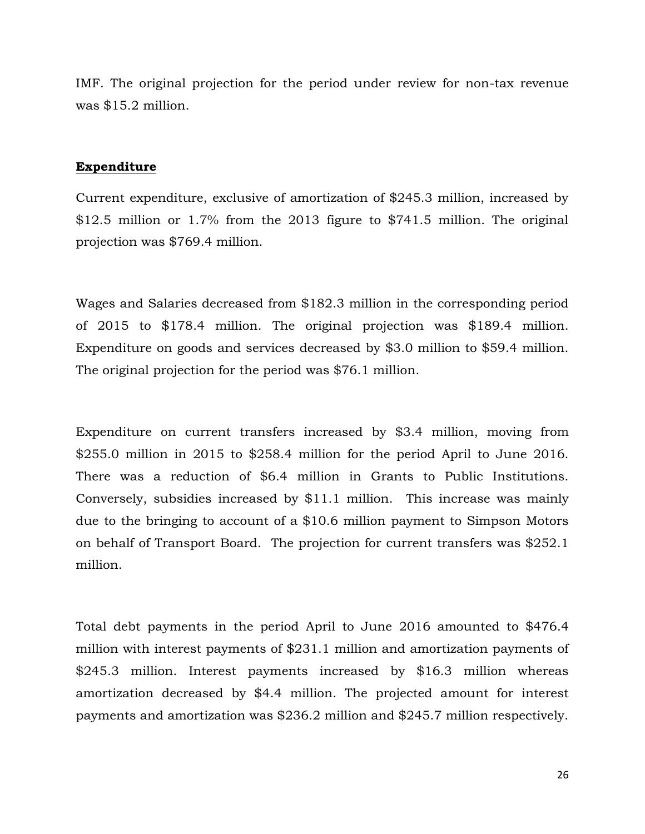IMF. The original projection for the period under review for non-tax revenue was \$15.2 million.

#### **Expenditure**

Current expenditure, exclusive of amortization of \$245.3 million, increased by \$12.5 million or 1.7% from the 2013 figure to \$741.5 million. The original projection was \$769.4 million.

Wages and Salaries decreased from \$182.3 million in the corresponding period of 2015 to \$178.4 million. The original projection was \$189.4 million. Expenditure on goods and services decreased by \$3.0 million to \$59.4 million. The original projection for the period was \$76.1 million.

Expenditure on current transfers increased by \$3.4 million, moving from \$255.0 million in 2015 to \$258.4 million for the period April to June 2016. There was a reduction of \$6.4 million in Grants to Public Institutions. Conversely, subsidies increased by \$11.1 million. This increase was mainly due to the bringing to account of a \$10.6 million payment to Simpson Motors on behalf of Transport Board. The projection for current transfers was \$252.1 million.

Total debt payments in the period April to June 2016 amounted to \$476.4 million with interest payments of \$231.1 million and amortization payments of \$245.3 million. Interest payments increased by \$16.3 million whereas amortization decreased by \$4.4 million. The projected amount for interest payments and amortization was \$236.2 million and \$245.7 million respectively.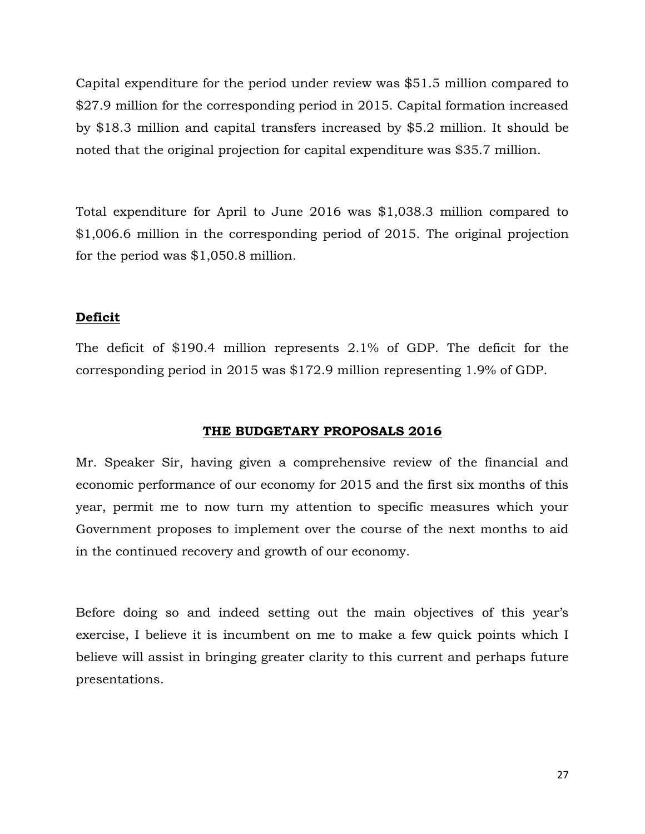Capital expenditure for the period under review was \$51.5 million compared to \$27.9 million for the corresponding period in 2015. Capital formation increased by \$18.3 million and capital transfers increased by \$5.2 million. It should be noted that the original projection for capital expenditure was \$35.7 million.

Total expenditure for April to June 2016 was \$1,038.3 million compared to \$1,006.6 million in the corresponding period of 2015. The original projection for the period was \$1,050.8 million.

# **Deficit**

The deficit of \$190.4 million represents 2.1% of GDP. The deficit for the corresponding period in 2015 was \$172.9 million representing 1.9% of GDP.

# **THE BUDGETARY PROPOSALS 2016**

Mr. Speaker Sir, having given a comprehensive review of the financial and economic performance of our economy for 2015 and the first six months of this year, permit me to now turn my attention to specific measures which your Government proposes to implement over the course of the next months to aid in the continued recovery and growth of our economy.

Before doing so and indeed setting out the main objectives of this year's exercise, I believe it is incumbent on me to make a few quick points which I believe will assist in bringing greater clarity to this current and perhaps future presentations.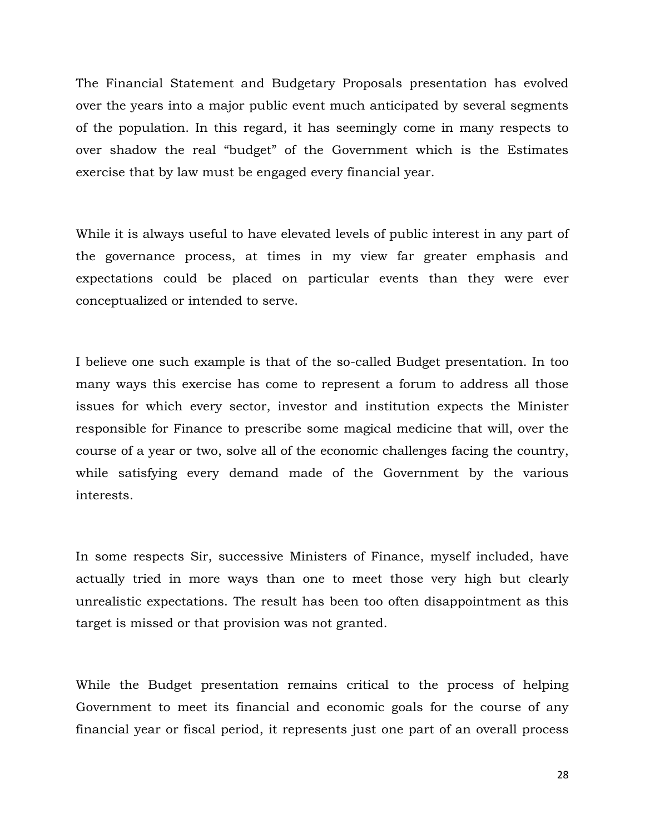The Financial Statement and Budgetary Proposals presentation has evolved over the years into a major public event much anticipated by several segments of the population. In this regard, it has seemingly come in many respects to over shadow the real "budget" of the Government which is the Estimates exercise that by law must be engaged every financial year.

While it is always useful to have elevated levels of public interest in any part of the governance process, at times in my view far greater emphasis and expectations could be placed on particular events than they were ever conceptualized or intended to serve.

I believe one such example is that of the so-called Budget presentation. In too many ways this exercise has come to represent a forum to address all those issues for which every sector, investor and institution expects the Minister responsible for Finance to prescribe some magical medicine that will, over the course of a year or two, solve all of the economic challenges facing the country, while satisfying every demand made of the Government by the various interests.

In some respects Sir, successive Ministers of Finance, myself included, have actually tried in more ways than one to meet those very high but clearly unrealistic expectations. The result has been too often disappointment as this target is missed or that provision was not granted.

While the Budget presentation remains critical to the process of helping Government to meet its financial and economic goals for the course of any financial year or fiscal period, it represents just one part of an overall process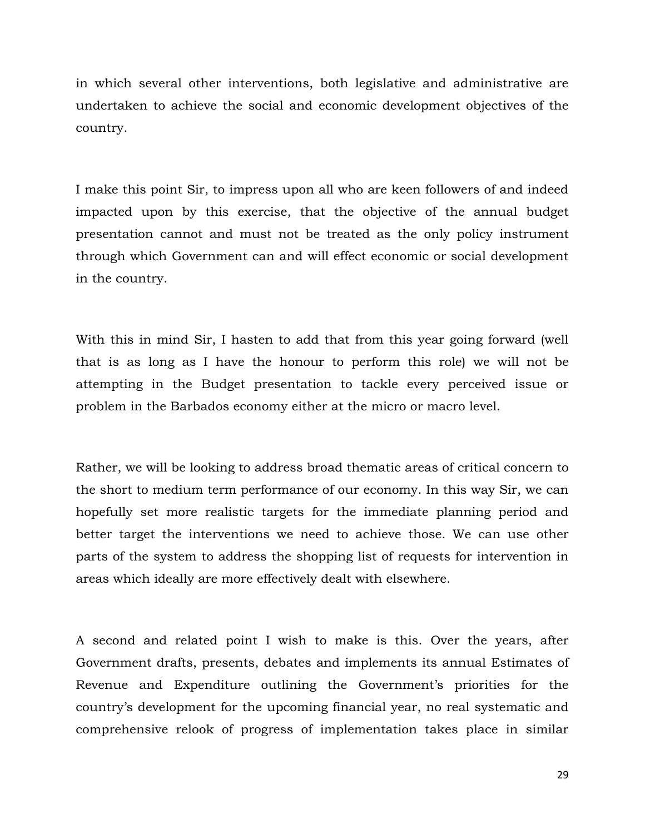in which several other interventions, both legislative and administrative are undertaken to achieve the social and economic development objectives of the country.

I make this point Sir, to impress upon all who are keen followers of and indeed impacted upon by this exercise, that the objective of the annual budget presentation cannot and must not be treated as the only policy instrument through which Government can and will effect economic or social development in the country.

With this in mind Sir, I hasten to add that from this year going forward (well that is as long as I have the honour to perform this role) we will not be attempting in the Budget presentation to tackle every perceived issue or problem in the Barbados economy either at the micro or macro level.

Rather, we will be looking to address broad thematic areas of critical concern to the short to medium term performance of our economy. In this way Sir, we can hopefully set more realistic targets for the immediate planning period and better target the interventions we need to achieve those. We can use other parts of the system to address the shopping list of requests for intervention in areas which ideally are more effectively dealt with elsewhere.

A second and related point I wish to make is this. Over the years, after Government drafts, presents, debates and implements its annual Estimates of Revenue and Expenditure outlining the Government's priorities for the country's development for the upcoming financial year, no real systematic and comprehensive relook of progress of implementation takes place in similar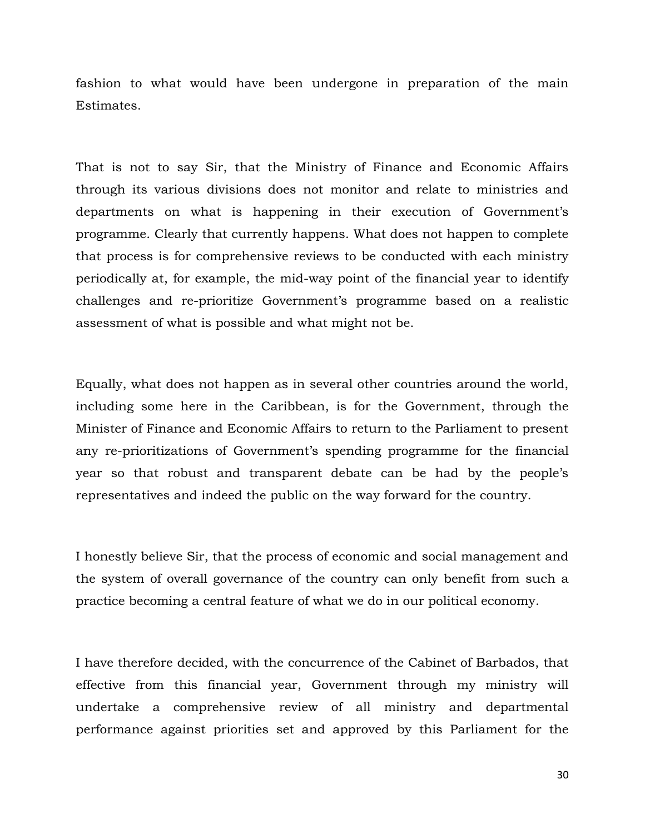fashion to what would have been undergone in preparation of the main Estimates.

That is not to say Sir, that the Ministry of Finance and Economic Affairs through its various divisions does not monitor and relate to ministries and departments on what is happening in their execution of Government's programme. Clearly that currently happens. What does not happen to complete that process is for comprehensive reviews to be conducted with each ministry periodically at, for example, the mid-way point of the financial year to identify challenges and re-prioritize Government's programme based on a realistic assessment of what is possible and what might not be.

Equally, what does not happen as in several other countries around the world, including some here in the Caribbean, is for the Government, through the Minister of Finance and Economic Affairs to return to the Parliament to present any re-prioritizations of Government's spending programme for the financial year so that robust and transparent debate can be had by the people's representatives and indeed the public on the way forward for the country.

I honestly believe Sir, that the process of economic and social management and the system of overall governance of the country can only benefit from such a practice becoming a central feature of what we do in our political economy.

I have therefore decided, with the concurrence of the Cabinet of Barbados, that effective from this financial year, Government through my ministry will undertake a comprehensive review of all ministry and departmental performance against priorities set and approved by this Parliament for the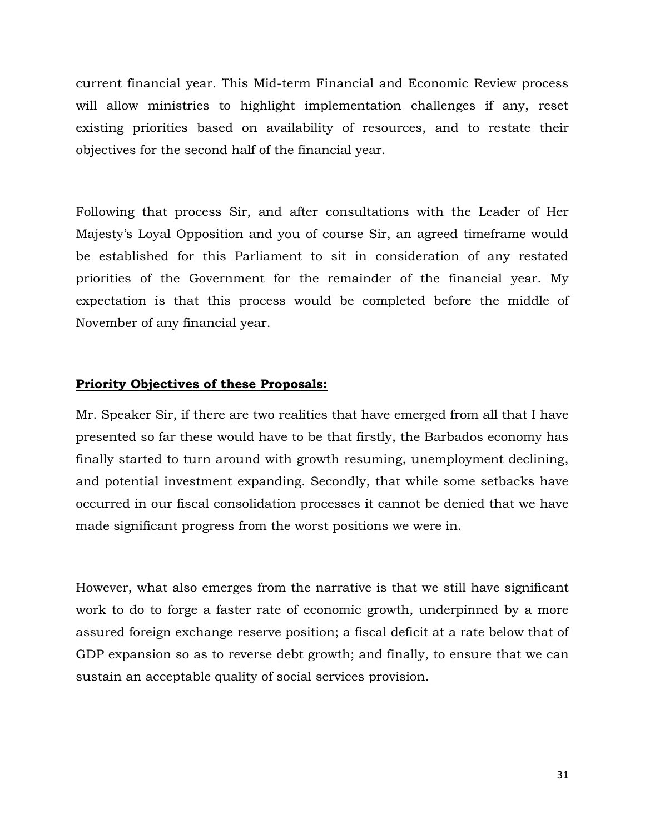current financial year. This Mid-term Financial and Economic Review process will allow ministries to highlight implementation challenges if any, reset existing priorities based on availability of resources, and to restate their objectives for the second half of the financial year.

Following that process Sir, and after consultations with the Leader of Her Majesty's Loyal Opposition and you of course Sir, an agreed timeframe would be established for this Parliament to sit in consideration of any restated priorities of the Government for the remainder of the financial year. My expectation is that this process would be completed before the middle of November of any financial year.

### **Priority Objectives of these Proposals:**

Mr. Speaker Sir, if there are two realities that have emerged from all that I have presented so far these would have to be that firstly, the Barbados economy has finally started to turn around with growth resuming, unemployment declining, and potential investment expanding. Secondly, that while some setbacks have occurred in our fiscal consolidation processes it cannot be denied that we have made significant progress from the worst positions we were in.

However, what also emerges from the narrative is that we still have significant work to do to forge a faster rate of economic growth, underpinned by a more assured foreign exchange reserve position; a fiscal deficit at a rate below that of GDP expansion so as to reverse debt growth; and finally, to ensure that we can sustain an acceptable quality of social services provision.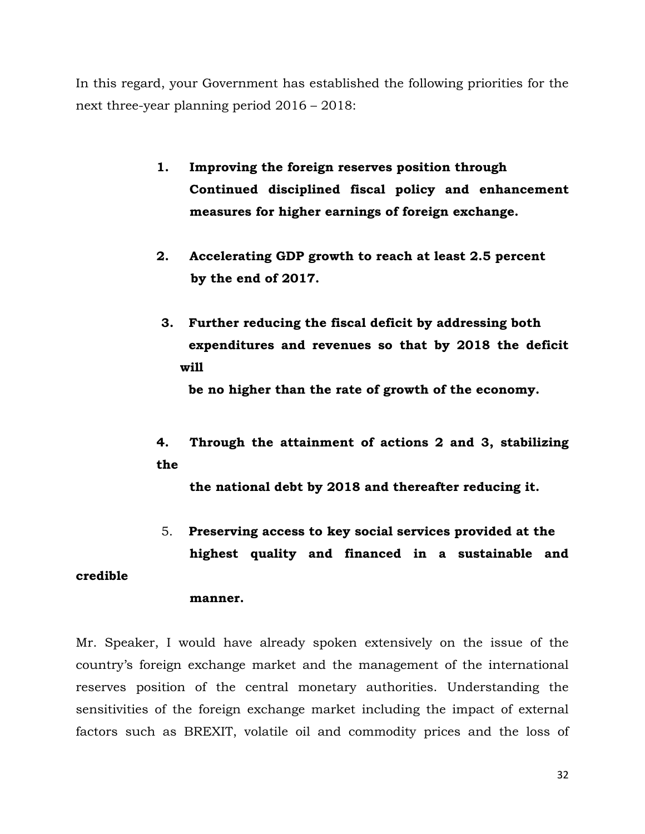In this regard, your Government has established the following priorities for the next three-year planning period 2016 – 2018:

- **1. Improving the foreign reserves position through Continued disciplined fiscal policy and enhancement measures for higher earnings of foreign exchange.**
- **2. Accelerating GDP growth to reach at least 2.5 percent by the end of 2017.**
- **3. Further reducing the fiscal deficit by addressing both expenditures and revenues so that by 2018 the deficit will**

 **be no higher than the rate of growth of the economy.** 

**4. Through the attainment of actions 2 and 3, stabilizing the**

**the national debt by 2018 and thereafter reducing it.** 

5. **Preserving access to key social services provided at the highest quality and financed in a sustainable and** 

# **credible**

## **manner.**

Mr. Speaker, I would have already spoken extensively on the issue of the country's foreign exchange market and the management of the international reserves position of the central monetary authorities. Understanding the sensitivities of the foreign exchange market including the impact of external factors such as BREXIT, volatile oil and commodity prices and the loss of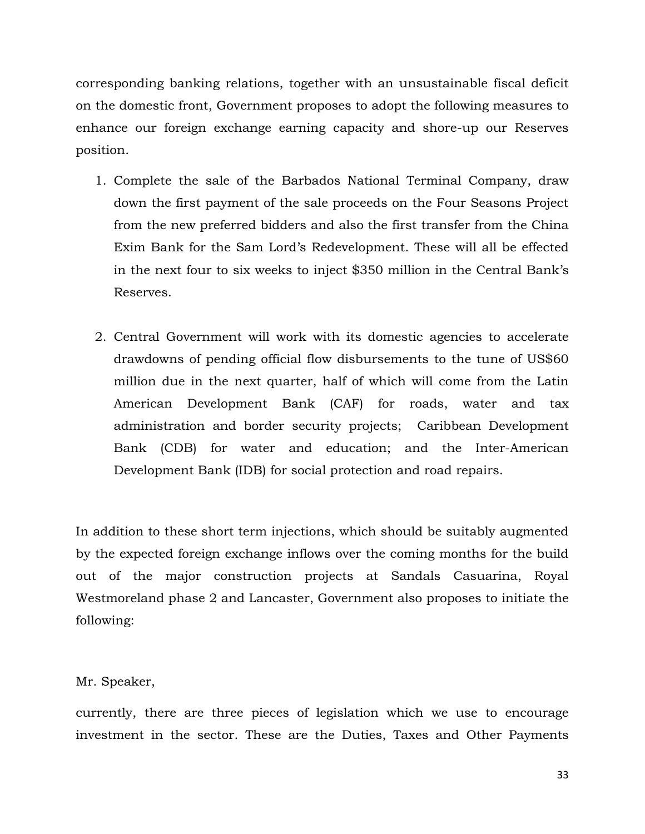corresponding banking relations, together with an unsustainable fiscal deficit on the domestic front, Government proposes to adopt the following measures to enhance our foreign exchange earning capacity and shore-up our Reserves position.

- 1. Complete the sale of the Barbados National Terminal Company, draw down the first payment of the sale proceeds on the Four Seasons Project from the new preferred bidders and also the first transfer from the China Exim Bank for the Sam Lord's Redevelopment. These will all be effected in the next four to six weeks to inject \$350 million in the Central Bank's Reserves.
- 2. Central Government will work with its domestic agencies to accelerate drawdowns of pending official flow disbursements to the tune of US\$60 million due in the next quarter, half of which will come from the Latin American Development Bank (CAF) for roads, water and tax administration and border security projects; Caribbean Development Bank (CDB) for water and education; and the Inter-American Development Bank (IDB) for social protection and road repairs.

In addition to these short term injections, which should be suitably augmented by the expected foreign exchange inflows over the coming months for the build out of the major construction projects at Sandals Casuarina, Royal Westmoreland phase 2 and Lancaster, Government also proposes to initiate the following:

# Mr. Speaker,

currently, there are three pieces of legislation which we use to encourage investment in the sector. These are the Duties, Taxes and Other Payments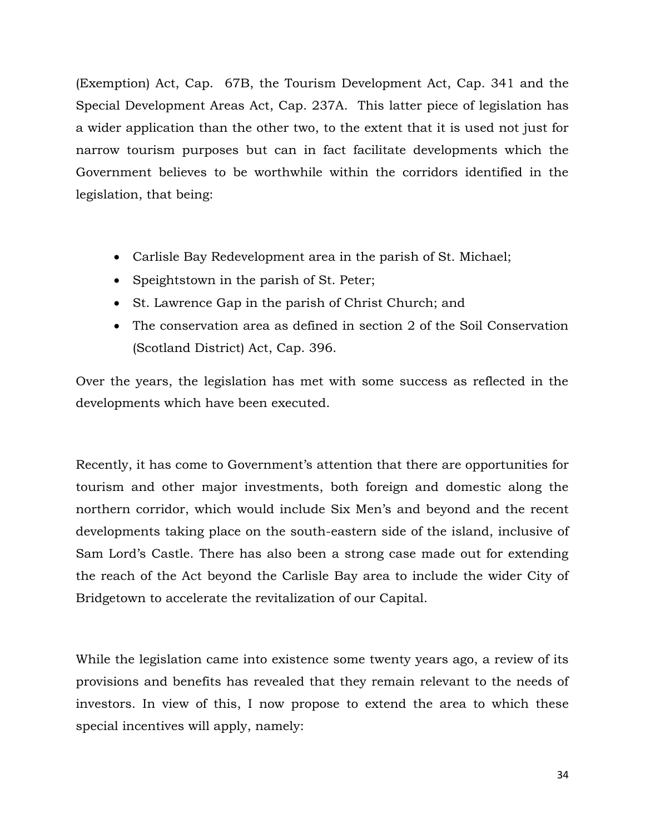(Exemption) Act, Cap. 67B, the Tourism Development Act, Cap. 341 and the Special Development Areas Act, Cap. 237A. This latter piece of legislation has a wider application than the other two, to the extent that it is used not just for narrow tourism purposes but can in fact facilitate developments which the Government believes to be worthwhile within the corridors identified in the legislation, that being:

- Carlisle Bay Redevelopment area in the parish of St. Michael;
- Speightstown in the parish of St. Peter;
- St. Lawrence Gap in the parish of Christ Church; and
- The conservation area as defined in section 2 of the Soil Conservation (Scotland District) Act, Cap. 396.

Over the years, the legislation has met with some success as reflected in the developments which have been executed.

Recently, it has come to Government's attention that there are opportunities for tourism and other major investments, both foreign and domestic along the northern corridor, which would include Six Men's and beyond and the recent developments taking place on the south-eastern side of the island, inclusive of Sam Lord's Castle. There has also been a strong case made out for extending the reach of the Act beyond the Carlisle Bay area to include the wider City of Bridgetown to accelerate the revitalization of our Capital.

While the legislation came into existence some twenty years ago, a review of its provisions and benefits has revealed that they remain relevant to the needs of investors. In view of this, I now propose to extend the area to which these special incentives will apply, namely: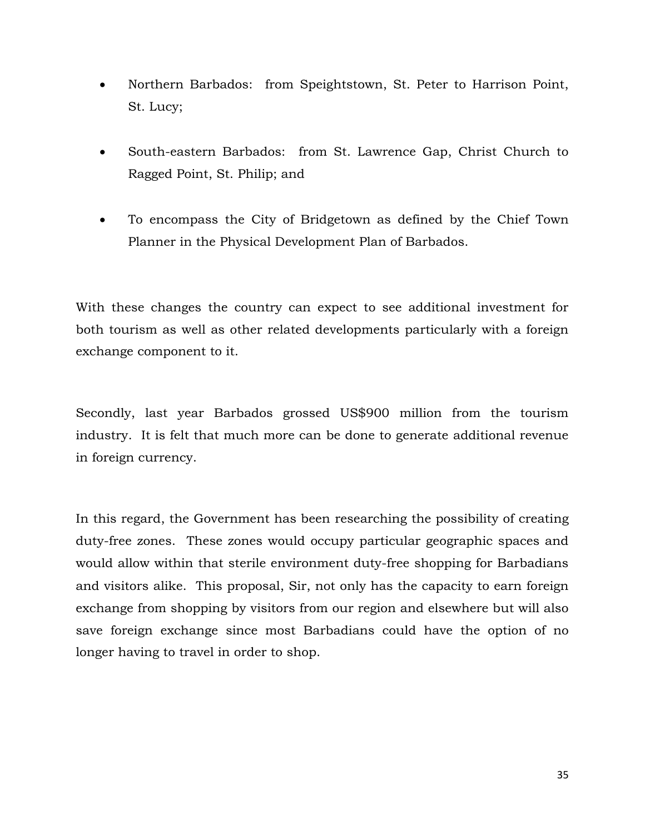- Northern Barbados: from Speightstown, St. Peter to Harrison Point, St. Lucy;
- South-eastern Barbados: from St. Lawrence Gap, Christ Church to Ragged Point, St. Philip; and
- To encompass the City of Bridgetown as defined by the Chief Town Planner in the Physical Development Plan of Barbados.

With these changes the country can expect to see additional investment for both tourism as well as other related developments particularly with a foreign exchange component to it.

Secondly, last year Barbados grossed US\$900 million from the tourism industry. It is felt that much more can be done to generate additional revenue in foreign currency.

In this regard, the Government has been researching the possibility of creating duty-free zones. These zones would occupy particular geographic spaces and would allow within that sterile environment duty-free shopping for Barbadians and visitors alike. This proposal, Sir, not only has the capacity to earn foreign exchange from shopping by visitors from our region and elsewhere but will also save foreign exchange since most Barbadians could have the option of no longer having to travel in order to shop.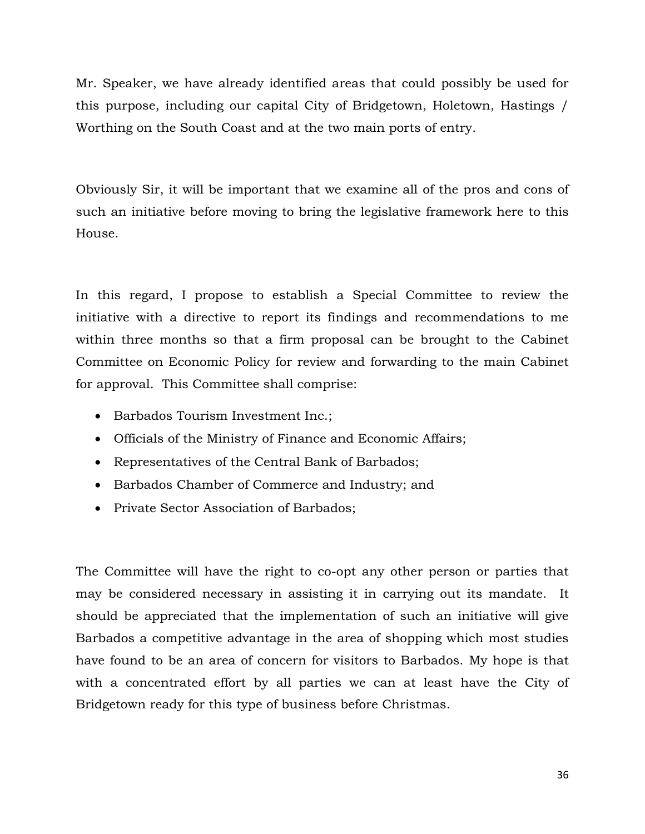Mr. Speaker, we have already identified areas that could possibly be used for this purpose, including our capital City of Bridgetown, Holetown, Hastings / Worthing on the South Coast and at the two main ports of entry.

Obviously Sir, it will be important that we examine all of the pros and cons of such an initiative before moving to bring the legislative framework here to this House.

In this regard, I propose to establish a Special Committee to review the initiative with a directive to report its findings and recommendations to me within three months so that a firm proposal can be brought to the Cabinet Committee on Economic Policy for review and forwarding to the main Cabinet for approval. This Committee shall comprise:

- Barbados Tourism Investment Inc.;
- Officials of the Ministry of Finance and Economic Affairs;
- Representatives of the Central Bank of Barbados;
- Barbados Chamber of Commerce and Industry; and
- Private Sector Association of Barbados;

The Committee will have the right to co-opt any other person or parties that may be considered necessary in assisting it in carrying out its mandate. It should be appreciated that the implementation of such an initiative will give Barbados a competitive advantage in the area of shopping which most studies have found to be an area of concern for visitors to Barbados. My hope is that with a concentrated effort by all parties we can at least have the City of Bridgetown ready for this type of business before Christmas.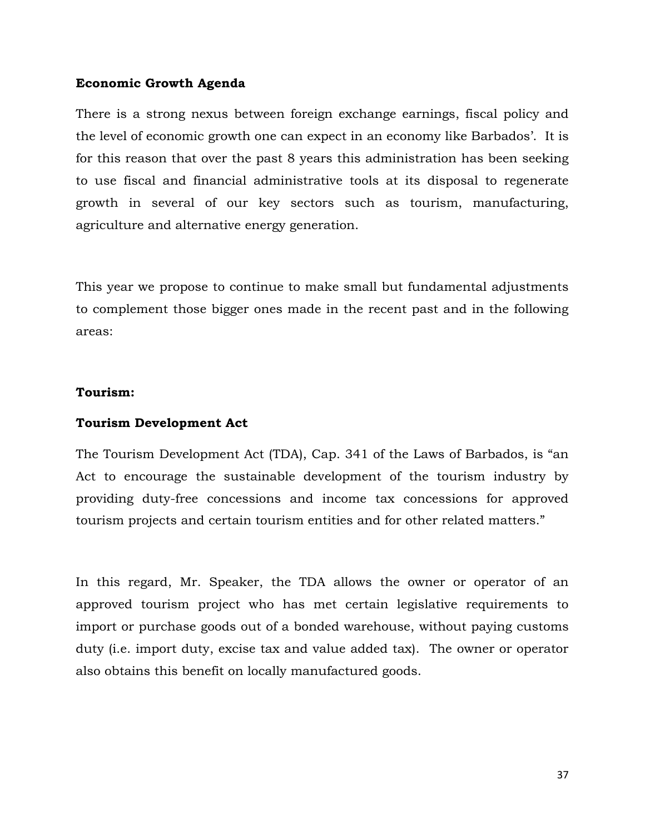## **Economic Growth Agenda**

There is a strong nexus between foreign exchange earnings, fiscal policy and the level of economic growth one can expect in an economy like Barbados'. It is for this reason that over the past 8 years this administration has been seeking to use fiscal and financial administrative tools at its disposal to regenerate growth in several of our key sectors such as tourism, manufacturing, agriculture and alternative energy generation.

This year we propose to continue to make small but fundamental adjustments to complement those bigger ones made in the recent past and in the following areas:

## **Tourism:**

# **Tourism Development Act**

The Tourism Development Act (TDA), Cap. 341 of the Laws of Barbados, is "an Act to encourage the sustainable development of the tourism industry by providing duty-free concessions and income tax concessions for approved tourism projects and certain tourism entities and for other related matters."

In this regard, Mr. Speaker, the TDA allows the owner or operator of an approved tourism project who has met certain legislative requirements to import or purchase goods out of a bonded warehouse, without paying customs duty (i.e. import duty, excise tax and value added tax). The owner or operator also obtains this benefit on locally manufactured goods.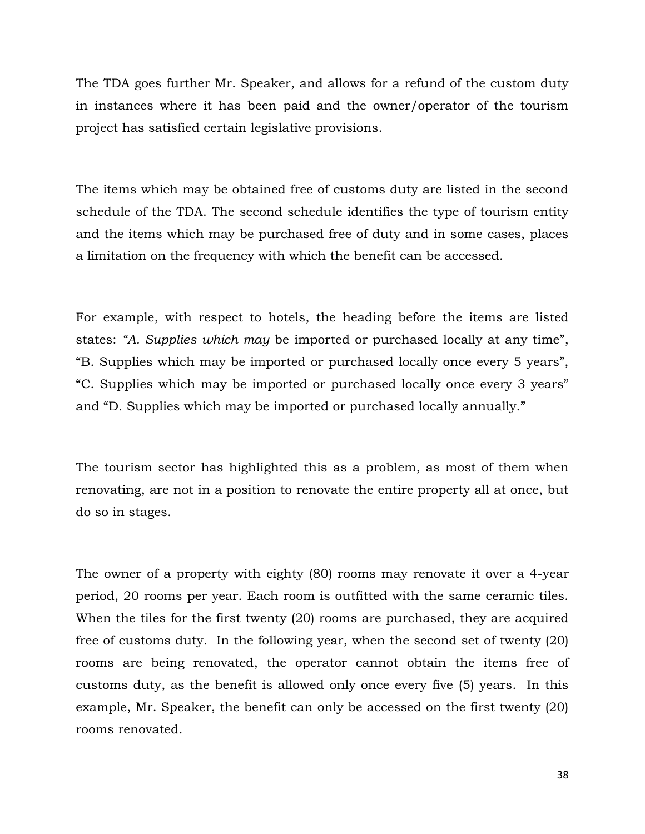The TDA goes further Mr. Speaker, and allows for a refund of the custom duty in instances where it has been paid and the owner/operator of the tourism project has satisfied certain legislative provisions.

The items which may be obtained free of customs duty are listed in the second schedule of the TDA. The second schedule identifies the type of tourism entity and the items which may be purchased free of duty and in some cases, places a limitation on the frequency with which the benefit can be accessed.

For example, with respect to hotels, the heading before the items are listed states: *"A. Supplies which may* be imported or purchased locally at any time", "B. Supplies which may be imported or purchased locally once every 5 years", "C. Supplies which may be imported or purchased locally once every 3 years" and "D. Supplies which may be imported or purchased locally annually."

The tourism sector has highlighted this as a problem, as most of them when renovating, are not in a position to renovate the entire property all at once, but do so in stages.

The owner of a property with eighty (80) rooms may renovate it over a 4-year period, 20 rooms per year. Each room is outfitted with the same ceramic tiles. When the tiles for the first twenty (20) rooms are purchased, they are acquired free of customs duty. In the following year, when the second set of twenty (20) rooms are being renovated, the operator cannot obtain the items free of customs duty, as the benefit is allowed only once every five (5) years. In this example, Mr. Speaker, the benefit can only be accessed on the first twenty (20) rooms renovated.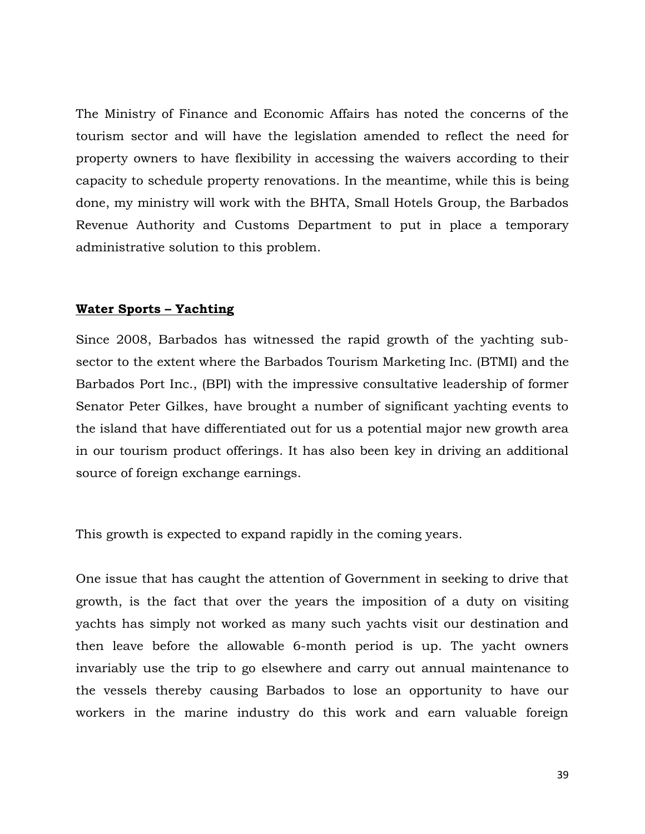The Ministry of Finance and Economic Affairs has noted the concerns of the tourism sector and will have the legislation amended to reflect the need for property owners to have flexibility in accessing the waivers according to their capacity to schedule property renovations. In the meantime, while this is being done, my ministry will work with the BHTA, Small Hotels Group, the Barbados Revenue Authority and Customs Department to put in place a temporary administrative solution to this problem.

#### **Water Sports – Yachting**

Since 2008, Barbados has witnessed the rapid growth of the yachting subsector to the extent where the Barbados Tourism Marketing Inc. (BTMI) and the Barbados Port Inc., (BPI) with the impressive consultative leadership of former Senator Peter Gilkes, have brought a number of significant yachting events to the island that have differentiated out for us a potential major new growth area in our tourism product offerings. It has also been key in driving an additional source of foreign exchange earnings.

This growth is expected to expand rapidly in the coming years.

One issue that has caught the attention of Government in seeking to drive that growth, is the fact that over the years the imposition of a duty on visiting yachts has simply not worked as many such yachts visit our destination and then leave before the allowable 6-month period is up. The yacht owners invariably use the trip to go elsewhere and carry out annual maintenance to the vessels thereby causing Barbados to lose an opportunity to have our workers in the marine industry do this work and earn valuable foreign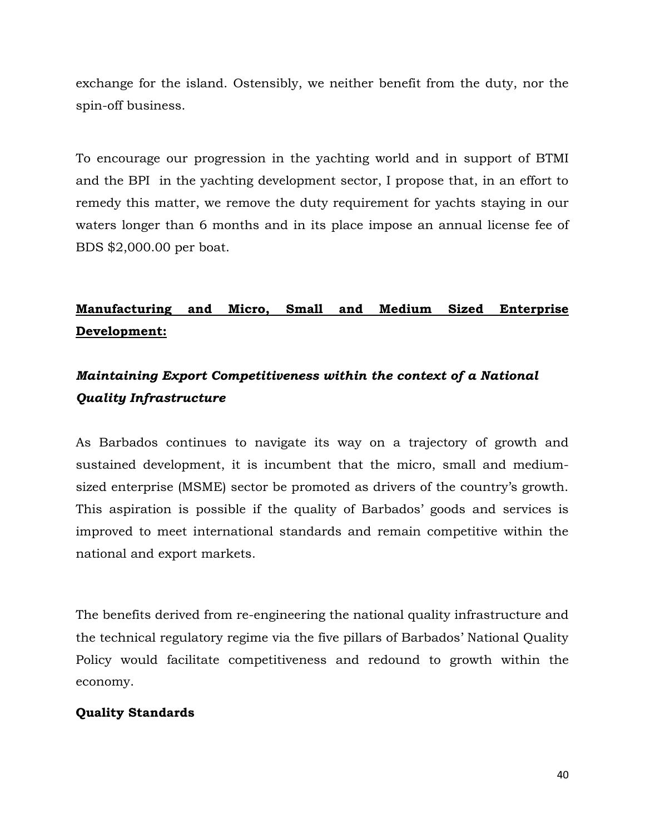exchange for the island. Ostensibly, we neither benefit from the duty, nor the spin-off business.

To encourage our progression in the yachting world and in support of BTMI and the BPI in the yachting development sector, I propose that, in an effort to remedy this matter, we remove the duty requirement for yachts staying in our waters longer than 6 months and in its place impose an annual license fee of BDS \$2,000.00 per boat.

# **Manufacturing and Micro, Small and Medium Sized Enterprise Development:**

# *Maintaining Export Competitiveness within the context of a National Quality Infrastructure*

As Barbados continues to navigate its way on a trajectory of growth and sustained development, it is incumbent that the micro, small and mediumsized enterprise (MSME) sector be promoted as drivers of the country's growth. This aspiration is possible if the quality of Barbados' goods and services is improved to meet international standards and remain competitive within the national and export markets.

The benefits derived from re-engineering the national quality infrastructure and the technical regulatory regime via the five pillars of Barbados' National Quality Policy would facilitate competitiveness and redound to growth within the economy.

# **Quality Standards**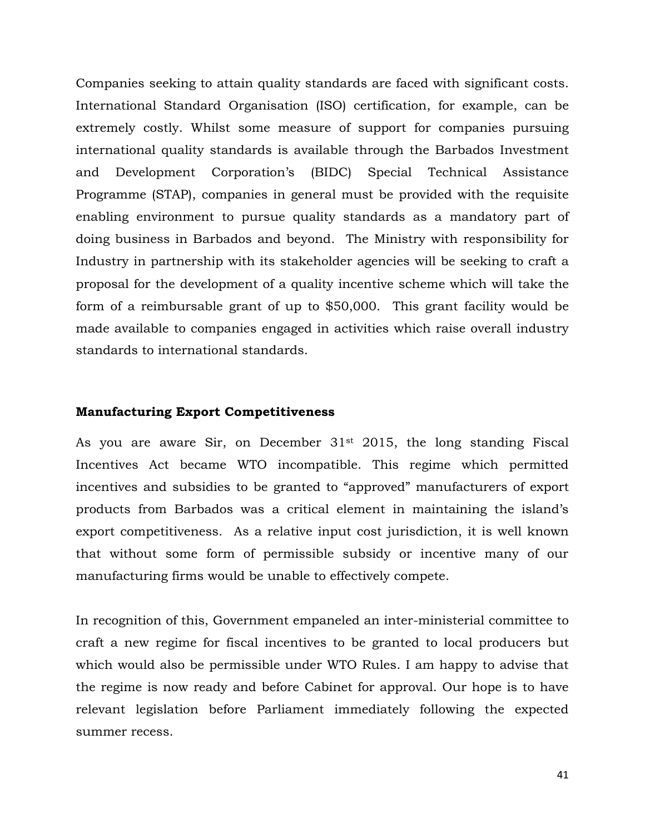Companies seeking to attain quality standards are faced with significant costs. International Standard Organisation (ISO) certification, for example, can be extremely costly. Whilst some measure of support for companies pursuing international quality standards is available through the Barbados Investment and Development Corporation's (BIDC) Special Technical Assistance Programme (STAP), companies in general must be provided with the requisite enabling environment to pursue quality standards as a mandatory part of doing business in Barbados and beyond. The Ministry with responsibility for Industry in partnership with its stakeholder agencies will be seeking to craft a proposal for the development of a quality incentive scheme which will take the form of a reimbursable grant of up to \$50,000. This grant facility would be made available to companies engaged in activities which raise overall industry standards to international standards.

#### **Manufacturing Export Competitiveness**

As you are aware Sir, on December 31st 2015, the long standing Fiscal Incentives Act became WTO incompatible. This regime which permitted incentives and subsidies to be granted to "approved" manufacturers of export products from Barbados was a critical element in maintaining the island's export competitiveness. As a relative input cost jurisdiction, it is well known that without some form of permissible subsidy or incentive many of our manufacturing firms would be unable to effectively compete.

In recognition of this, Government empaneled an inter-ministerial committee to craft a new regime for fiscal incentives to be granted to local producers but which would also be permissible under WTO Rules. I am happy to advise that the regime is now ready and before Cabinet for approval. Our hope is to have relevant legislation before Parliament immediately following the expected summer recess.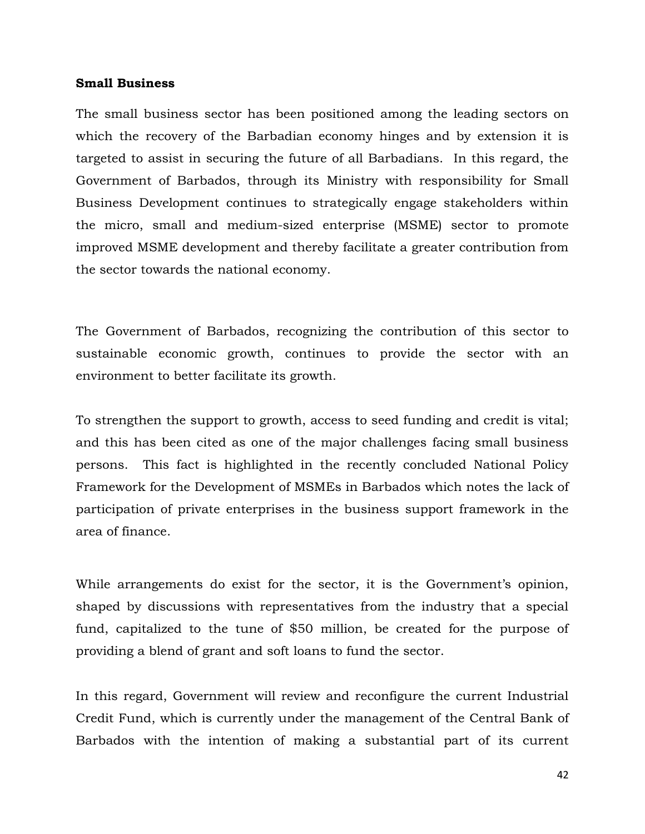#### **Small Business**

The small business sector has been positioned among the leading sectors on which the recovery of the Barbadian economy hinges and by extension it is targeted to assist in securing the future of all Barbadians. In this regard, the Government of Barbados, through its Ministry with responsibility for Small Business Development continues to strategically engage stakeholders within the micro, small and medium-sized enterprise (MSME) sector to promote improved MSME development and thereby facilitate a greater contribution from the sector towards the national economy.

The Government of Barbados, recognizing the contribution of this sector to sustainable economic growth, continues to provide the sector with an environment to better facilitate its growth.

To strengthen the support to growth, access to seed funding and credit is vital; and this has been cited as one of the major challenges facing small business persons. This fact is highlighted in the recently concluded National Policy Framework for the Development of MSMEs in Barbados which notes the lack of participation of private enterprises in the business support framework in the area of finance.

While arrangements do exist for the sector, it is the Government's opinion, shaped by discussions with representatives from the industry that a special fund, capitalized to the tune of \$50 million, be created for the purpose of providing a blend of grant and soft loans to fund the sector.

In this regard, Government will review and reconfigure the current Industrial Credit Fund, which is currently under the management of the Central Bank of Barbados with the intention of making a substantial part of its current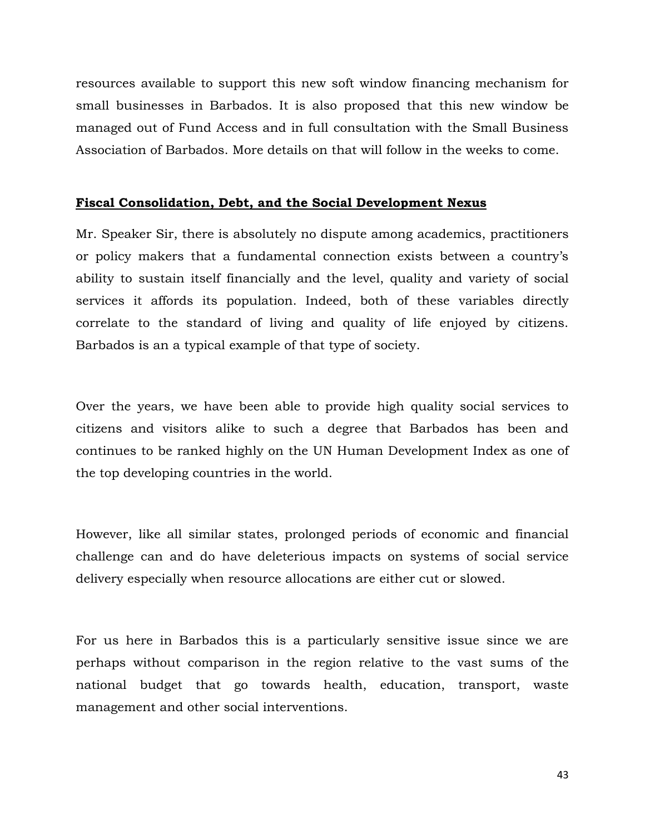resources available to support this new soft window financing mechanism for small businesses in Barbados. It is also proposed that this new window be managed out of Fund Access and in full consultation with the Small Business Association of Barbados. More details on that will follow in the weeks to come.

#### **Fiscal Consolidation, Debt, and the Social Development Nexus**

Mr. Speaker Sir, there is absolutely no dispute among academics, practitioners or policy makers that a fundamental connection exists between a country's ability to sustain itself financially and the level, quality and variety of social services it affords its population. Indeed, both of these variables directly correlate to the standard of living and quality of life enjoyed by citizens. Barbados is an a typical example of that type of society.

Over the years, we have been able to provide high quality social services to citizens and visitors alike to such a degree that Barbados has been and continues to be ranked highly on the UN Human Development Index as one of the top developing countries in the world.

However, like all similar states, prolonged periods of economic and financial challenge can and do have deleterious impacts on systems of social service delivery especially when resource allocations are either cut or slowed.

For us here in Barbados this is a particularly sensitive issue since we are perhaps without comparison in the region relative to the vast sums of the national budget that go towards health, education, transport, waste management and other social interventions.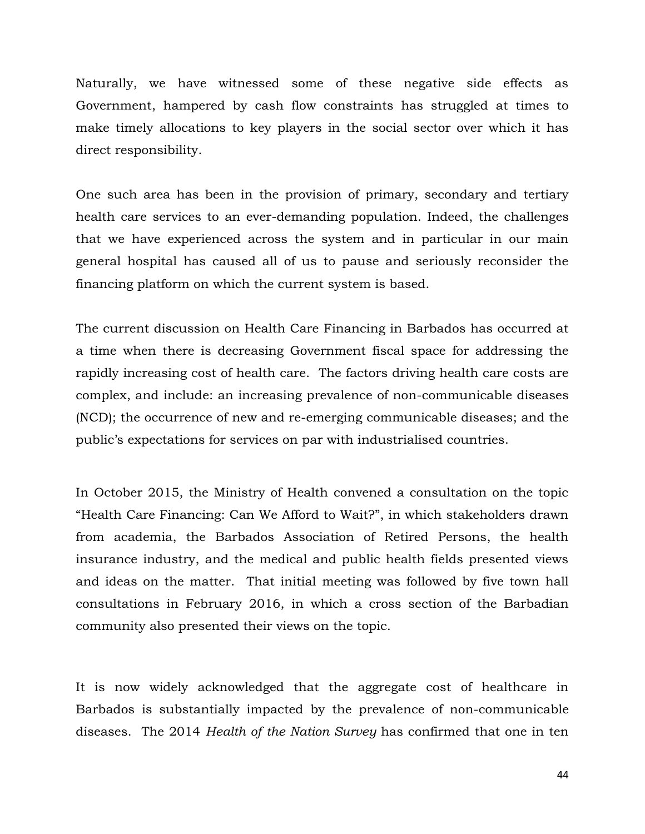Naturally, we have witnessed some of these negative side effects as Government, hampered by cash flow constraints has struggled at times to make timely allocations to key players in the social sector over which it has direct responsibility.

One such area has been in the provision of primary, secondary and tertiary health care services to an ever-demanding population. Indeed, the challenges that we have experienced across the system and in particular in our main general hospital has caused all of us to pause and seriously reconsider the financing platform on which the current system is based.

The current discussion on Health Care Financing in Barbados has occurred at a time when there is decreasing Government fiscal space for addressing the rapidly increasing cost of health care. The factors driving health care costs are complex, and include: an increasing prevalence of non-communicable diseases (NCD); the occurrence of new and re-emerging communicable diseases; and the public's expectations for services on par with industrialised countries.

In October 2015, the Ministry of Health convened a consultation on the topic "Health Care Financing: Can We Afford to Wait?", in which stakeholders drawn from academia, the Barbados Association of Retired Persons, the health insurance industry, and the medical and public health fields presented views and ideas on the matter. That initial meeting was followed by five town hall consultations in February 2016, in which a cross section of the Barbadian community also presented their views on the topic.

It is now widely acknowledged that the aggregate cost of healthcare in Barbados is substantially impacted by the prevalence of non-communicable diseases. The 2014 *Health of the Nation Survey* has confirmed that one in ten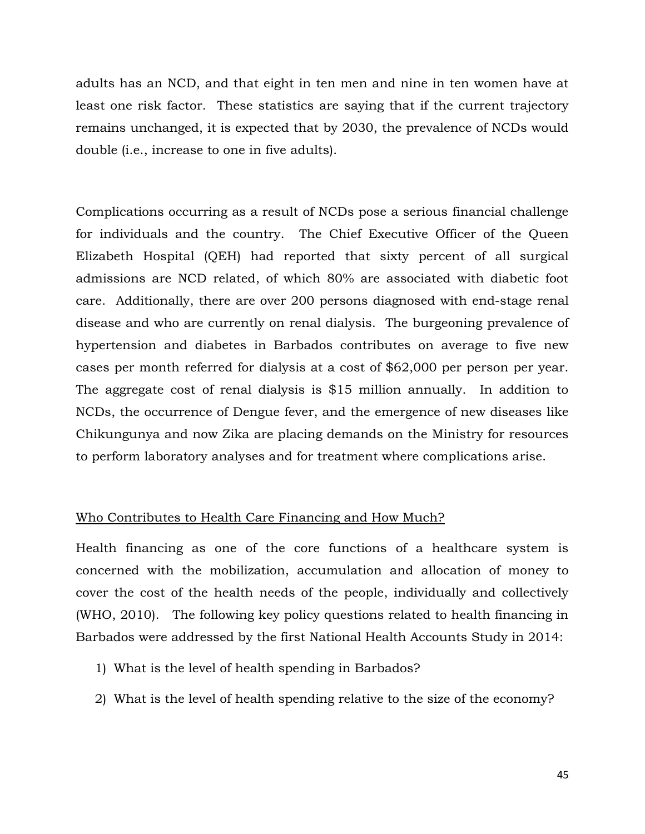adults has an NCD, and that eight in ten men and nine in ten women have at least one risk factor. These statistics are saying that if the current trajectory remains unchanged, it is expected that by 2030, the prevalence of NCDs would double (i.e., increase to one in five adults).

Complications occurring as a result of NCDs pose a serious financial challenge for individuals and the country. The Chief Executive Officer of the Queen Elizabeth Hospital (QEH) had reported that sixty percent of all surgical admissions are NCD related, of which 80% are associated with diabetic foot care. Additionally, there are over 200 persons diagnosed with end-stage renal disease and who are currently on renal dialysis. The burgeoning prevalence of hypertension and diabetes in Barbados contributes on average to five new cases per month referred for dialysis at a cost of \$62,000 per person per year. The aggregate cost of renal dialysis is \$15 million annually. In addition to NCDs, the occurrence of Dengue fever, and the emergence of new diseases like Chikungunya and now Zika are placing demands on the Ministry for resources to perform laboratory analyses and for treatment where complications arise.

### Who Contributes to Health Care Financing and How Much?

Health financing as one of the core functions of a healthcare system is concerned with the mobilization, accumulation and allocation of money to cover the cost of the health needs of the people, individually and collectively (WHO, 2010). The following key policy questions related to health financing in Barbados were addressed by the first National Health Accounts Study in 2014:

- 1) What is the level of health spending in Barbados?
- 2) What is the level of health spending relative to the size of the economy?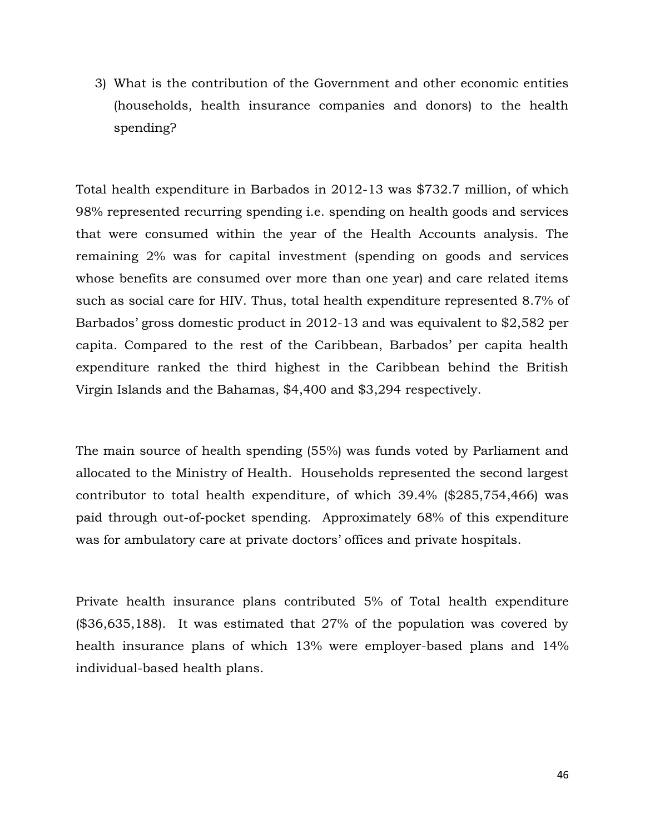3) What is the contribution of the Government and other economic entities (households, health insurance companies and donors) to the health spending?

Total health expenditure in Barbados in 2012-13 was \$732.7 million, of which 98% represented recurring spending i.e. spending on health goods and services that were consumed within the year of the Health Accounts analysis. The remaining 2% was for capital investment (spending on goods and services whose benefits are consumed over more than one year) and care related items such as social care for HIV. Thus, total health expenditure represented 8.7% of Barbados' gross domestic product in 2012-13 and was equivalent to \$2,582 per capita. Compared to the rest of the Caribbean, Barbados' per capita health expenditure ranked the third highest in the Caribbean behind the British Virgin Islands and the Bahamas, \$4,400 and \$3,294 respectively.

The main source of health spending (55%) was funds voted by Parliament and allocated to the Ministry of Health. Households represented the second largest contributor to total health expenditure, of which 39.4% (\$285,754,466) was paid through out-of-pocket spending. Approximately 68% of this expenditure was for ambulatory care at private doctors' offices and private hospitals.

Private health insurance plans contributed 5% of Total health expenditure (\$36,635,188). It was estimated that 27% of the population was covered by health insurance plans of which 13% were employer-based plans and 14% individual-based health plans.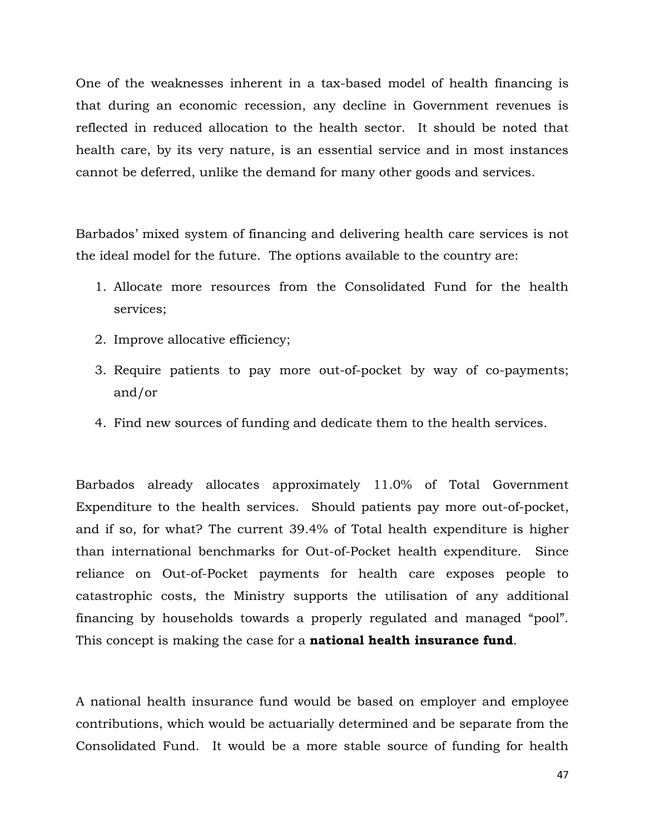One of the weaknesses inherent in a tax-based model of health financing is that during an economic recession, any decline in Government revenues is reflected in reduced allocation to the health sector. It should be noted that health care, by its very nature, is an essential service and in most instances cannot be deferred, unlike the demand for many other goods and services.

Barbados' mixed system of financing and delivering health care services is not the ideal model for the future. The options available to the country are:

- 1. Allocate more resources from the Consolidated Fund for the health services;
- 2. Improve allocative efficiency;
- 3. Require patients to pay more out-of-pocket by way of co-payments; and/or
- 4. Find new sources of funding and dedicate them to the health services.

Barbados already allocates approximately 11.0% of Total Government Expenditure to the health services. Should patients pay more out-of-pocket, and if so, for what? The current 39.4% of Total health expenditure is higher than international benchmarks for Out-of-Pocket health expenditure. Since reliance on Out-of-Pocket payments for health care exposes people to catastrophic costs, the Ministry supports the utilisation of any additional financing by households towards a properly regulated and managed "pool". This concept is making the case for a **national health insurance fund**.

A national health insurance fund would be based on employer and employee contributions, which would be actuarially determined and be separate from the Consolidated Fund. It would be a more stable source of funding for health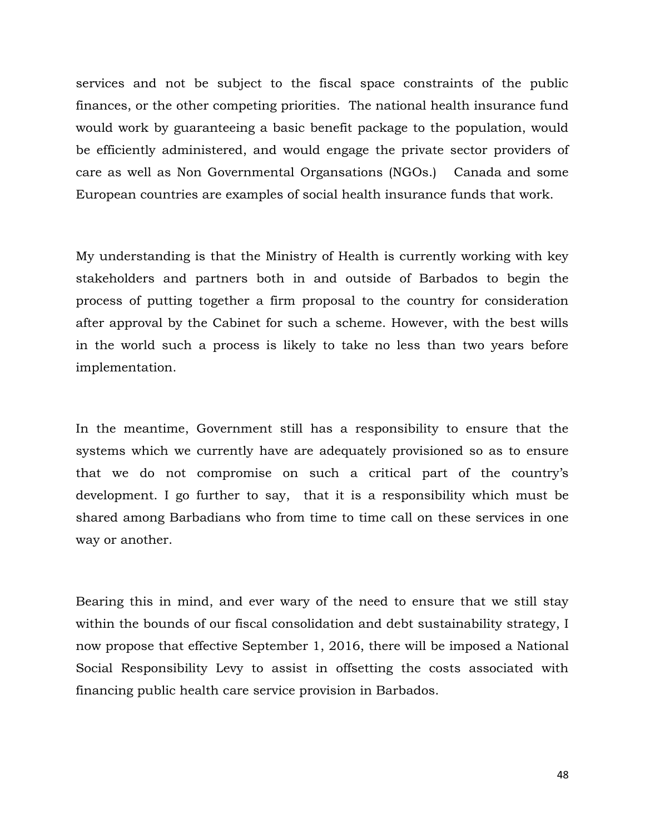services and not be subject to the fiscal space constraints of the public finances, or the other competing priorities. The national health insurance fund would work by guaranteeing a basic benefit package to the population, would be efficiently administered, and would engage the private sector providers of care as well as Non Governmental Organsations (NGOs.) Canada and some European countries are examples of social health insurance funds that work.

My understanding is that the Ministry of Health is currently working with key stakeholders and partners both in and outside of Barbados to begin the process of putting together a firm proposal to the country for consideration after approval by the Cabinet for such a scheme. However, with the best wills in the world such a process is likely to take no less than two years before implementation.

In the meantime, Government still has a responsibility to ensure that the systems which we currently have are adequately provisioned so as to ensure that we do not compromise on such a critical part of the country's development. I go further to say, that it is a responsibility which must be shared among Barbadians who from time to time call on these services in one way or another.

Bearing this in mind, and ever wary of the need to ensure that we still stay within the bounds of our fiscal consolidation and debt sustainability strategy, I now propose that effective September 1, 2016, there will be imposed a National Social Responsibility Levy to assist in offsetting the costs associated with financing public health care service provision in Barbados.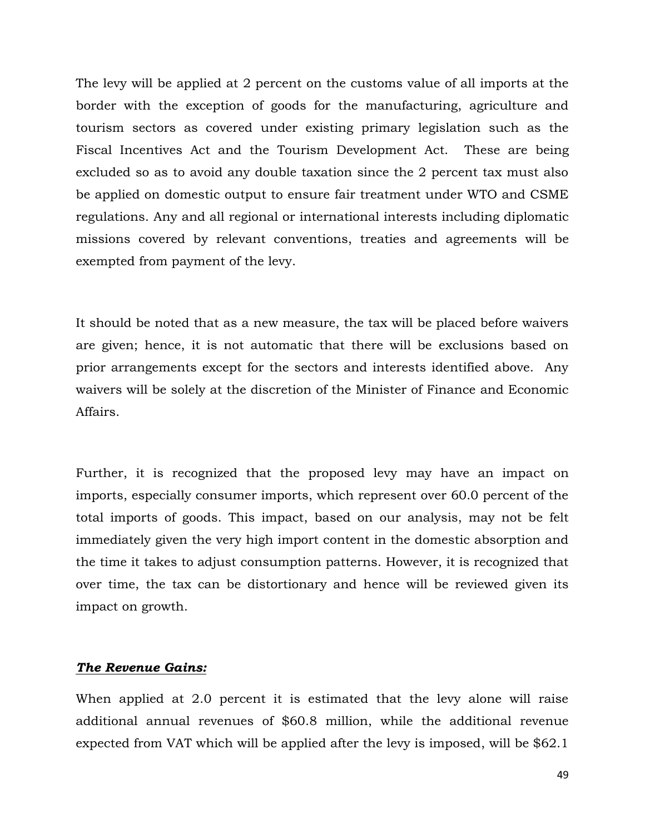The levy will be applied at 2 percent on the customs value of all imports at the border with the exception of goods for the manufacturing, agriculture and tourism sectors as covered under existing primary legislation such as the Fiscal Incentives Act and the Tourism Development Act. These are being excluded so as to avoid any double taxation since the 2 percent tax must also be applied on domestic output to ensure fair treatment under WTO and CSME regulations. Any and all regional or international interests including diplomatic missions covered by relevant conventions, treaties and agreements will be exempted from payment of the levy.

It should be noted that as a new measure, the tax will be placed before waivers are given; hence, it is not automatic that there will be exclusions based on prior arrangements except for the sectors and interests identified above. Any waivers will be solely at the discretion of the Minister of Finance and Economic Affairs.

Further, it is recognized that the proposed levy may have an impact on imports, especially consumer imports, which represent over 60.0 percent of the total imports of goods. This impact, based on our analysis, may not be felt immediately given the very high import content in the domestic absorption and the time it takes to adjust consumption patterns. However, it is recognized that over time, the tax can be distortionary and hence will be reviewed given its impact on growth.

## *The Revenue Gains:*

When applied at 2.0 percent it is estimated that the levy alone will raise additional annual revenues of \$60.8 million, while the additional revenue expected from VAT which will be applied after the levy is imposed, will be \$62.1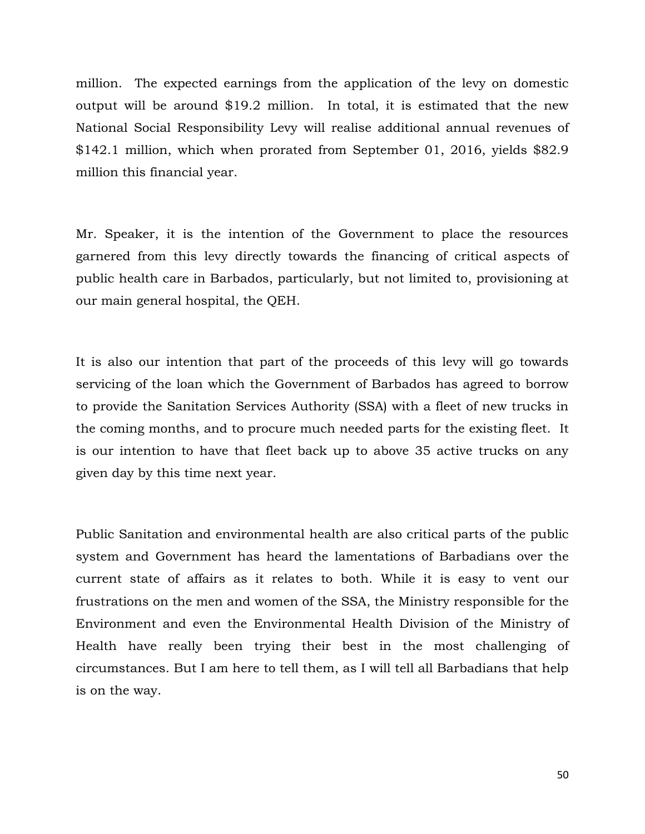million. The expected earnings from the application of the levy on domestic output will be around \$19.2 million. In total, it is estimated that the new National Social Responsibility Levy will realise additional annual revenues of \$142.1 million, which when prorated from September 01, 2016, yields \$82.9 million this financial year.

Mr. Speaker, it is the intention of the Government to place the resources garnered from this levy directly towards the financing of critical aspects of public health care in Barbados, particularly, but not limited to, provisioning at our main general hospital, the QEH.

It is also our intention that part of the proceeds of this levy will go towards servicing of the loan which the Government of Barbados has agreed to borrow to provide the Sanitation Services Authority (SSA) with a fleet of new trucks in the coming months, and to procure much needed parts for the existing fleet. It is our intention to have that fleet back up to above 35 active trucks on any given day by this time next year.

Public Sanitation and environmental health are also critical parts of the public system and Government has heard the lamentations of Barbadians over the current state of affairs as it relates to both. While it is easy to vent our frustrations on the men and women of the SSA, the Ministry responsible for the Environment and even the Environmental Health Division of the Ministry of Health have really been trying their best in the most challenging of circumstances. But I am here to tell them, as I will tell all Barbadians that help is on the way.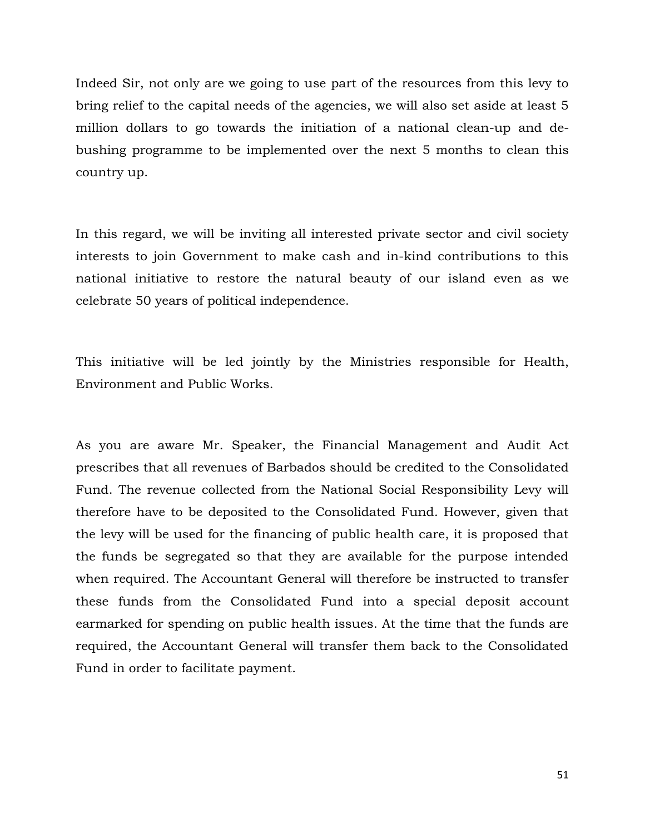Indeed Sir, not only are we going to use part of the resources from this levy to bring relief to the capital needs of the agencies, we will also set aside at least 5 million dollars to go towards the initiation of a national clean-up and debushing programme to be implemented over the next 5 months to clean this country up.

In this regard, we will be inviting all interested private sector and civil society interests to join Government to make cash and in-kind contributions to this national initiative to restore the natural beauty of our island even as we celebrate 50 years of political independence.

This initiative will be led jointly by the Ministries responsible for Health, Environment and Public Works.

As you are aware Mr. Speaker, the Financial Management and Audit Act prescribes that all revenues of Barbados should be credited to the Consolidated Fund. The revenue collected from the National Social Responsibility Levy will therefore have to be deposited to the Consolidated Fund. However, given that the levy will be used for the financing of public health care, it is proposed that the funds be segregated so that they are available for the purpose intended when required. The Accountant General will therefore be instructed to transfer these funds from the Consolidated Fund into a special deposit account earmarked for spending on public health issues. At the time that the funds are required, the Accountant General will transfer them back to the Consolidated Fund in order to facilitate payment.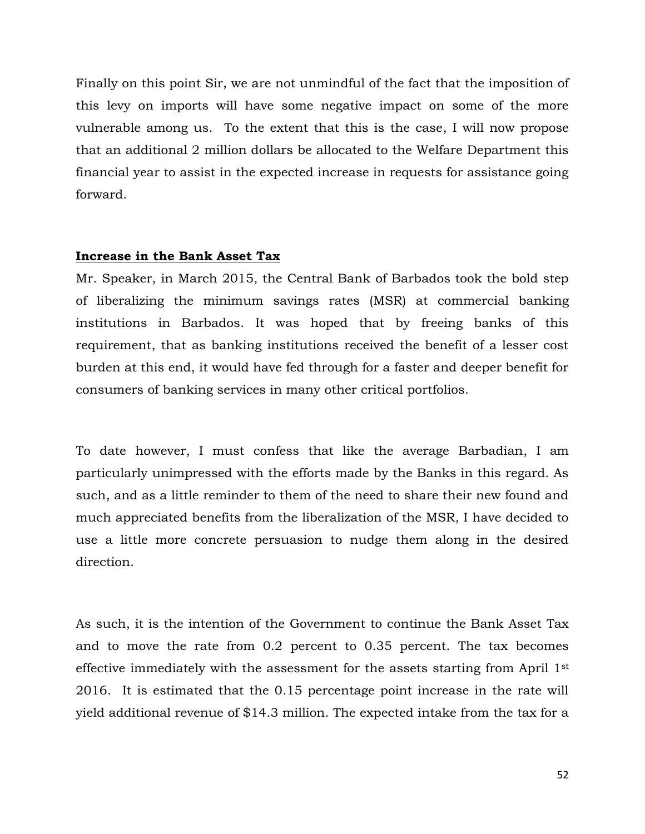Finally on this point Sir, we are not unmindful of the fact that the imposition of this levy on imports will have some negative impact on some of the more vulnerable among us. To the extent that this is the case, I will now propose that an additional 2 million dollars be allocated to the Welfare Department this financial year to assist in the expected increase in requests for assistance going forward.

#### **Increase in the Bank Asset Tax**

Mr. Speaker, in March 2015, the Central Bank of Barbados took the bold step of liberalizing the minimum savings rates (MSR) at commercial banking institutions in Barbados. It was hoped that by freeing banks of this requirement, that as banking institutions received the benefit of a lesser cost burden at this end, it would have fed through for a faster and deeper benefit for consumers of banking services in many other critical portfolios.

To date however, I must confess that like the average Barbadian, I am particularly unimpressed with the efforts made by the Banks in this regard. As such, and as a little reminder to them of the need to share their new found and much appreciated benefits from the liberalization of the MSR, I have decided to use a little more concrete persuasion to nudge them along in the desired direction.

As such, it is the intention of the Government to continue the Bank Asset Tax and to move the rate from 0.2 percent to 0.35 percent. The tax becomes effective immediately with the assessment for the assets starting from April 1st 2016. It is estimated that the 0.15 percentage point increase in the rate will yield additional revenue of \$14.3 million. The expected intake from the tax for a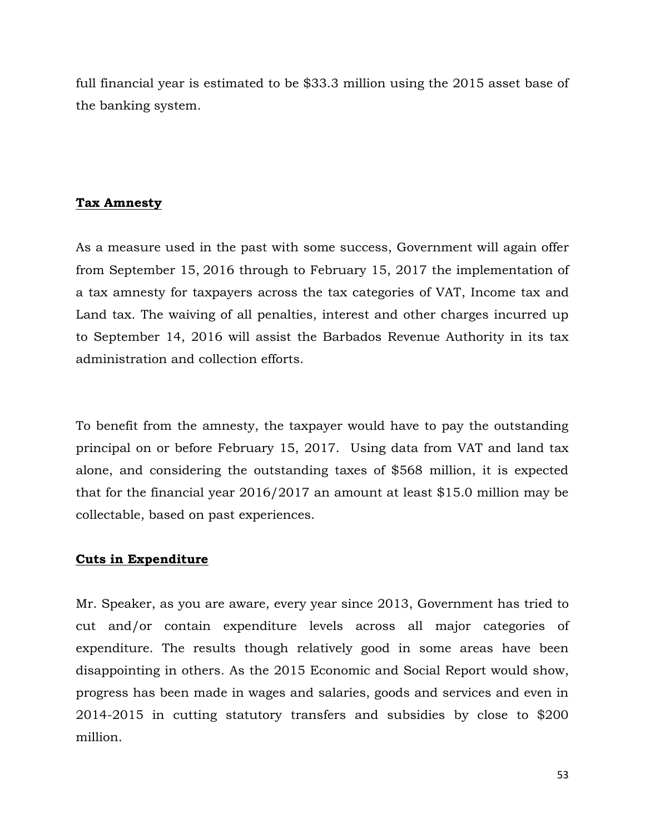full financial year is estimated to be \$33.3 million using the 2015 asset base of the banking system.

# **Tax Amnesty**

As a measure used in the past with some success, Government will again offer from September 15, 2016 through to February 15, 2017 the implementation of a tax amnesty for taxpayers across the tax categories of VAT, Income tax and Land tax. The waiving of all penalties, interest and other charges incurred up to September 14, 2016 will assist the Barbados Revenue Authority in its tax administration and collection efforts.

To benefit from the amnesty, the taxpayer would have to pay the outstanding principal on or before February 15, 2017. Using data from VAT and land tax alone, and considering the outstanding taxes of \$568 million, it is expected that for the financial year 2016/2017 an amount at least \$15.0 million may be collectable, based on past experiences.

## **Cuts in Expenditure**

Mr. Speaker, as you are aware, every year since 2013, Government has tried to cut and/or contain expenditure levels across all major categories of expenditure. The results though relatively good in some areas have been disappointing in others. As the 2015 Economic and Social Report would show, progress has been made in wages and salaries, goods and services and even in 2014-2015 in cutting statutory transfers and subsidies by close to \$200 million.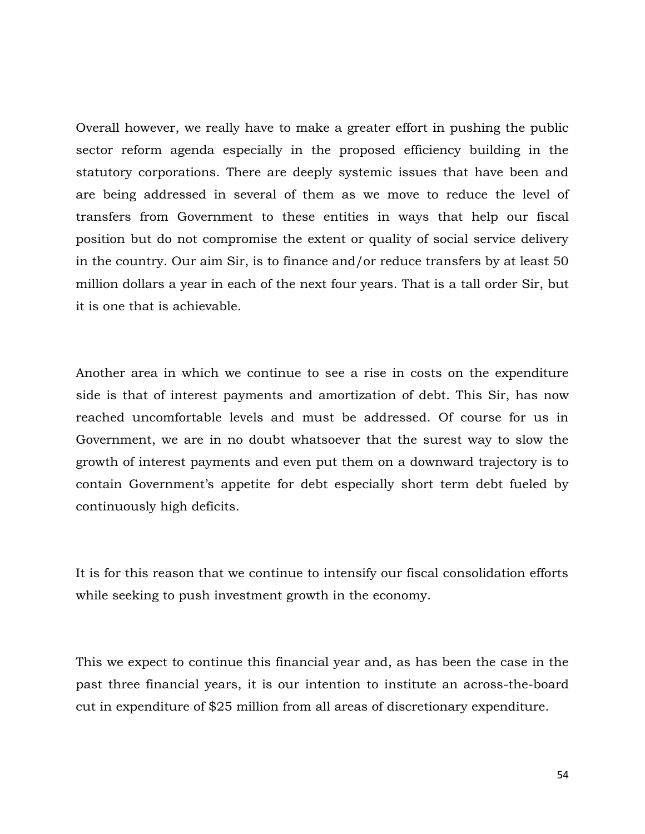Overall however, we really have to make a greater effort in pushing the public sector reform agenda especially in the proposed efficiency building in the statutory corporations. There are deeply systemic issues that have been and are being addressed in several of them as we move to reduce the level of transfers from Government to these entities in ways that help our fiscal position but do not compromise the extent or quality of social service delivery in the country. Our aim Sir, is to finance and/or reduce transfers by at least 50 million dollars a year in each of the next four years. That is a tall order Sir, but it is one that is achievable.

Another area in which we continue to see a rise in costs on the expenditure side is that of interest payments and amortization of debt. This Sir, has now reached uncomfortable levels and must be addressed. Of course for us in Government, we are in no doubt whatsoever that the surest way to slow the growth of interest payments and even put them on a downward trajectory is to contain Government's appetite for debt especially short term debt fueled by continuously high deficits.

It is for this reason that we continue to intensify our fiscal consolidation efforts while seeking to push investment growth in the economy.

This we expect to continue this financial year and, as has been the case in the past three financial years, it is our intention to institute an across-the-board cut in expenditure of \$25 million from all areas of discretionary expenditure.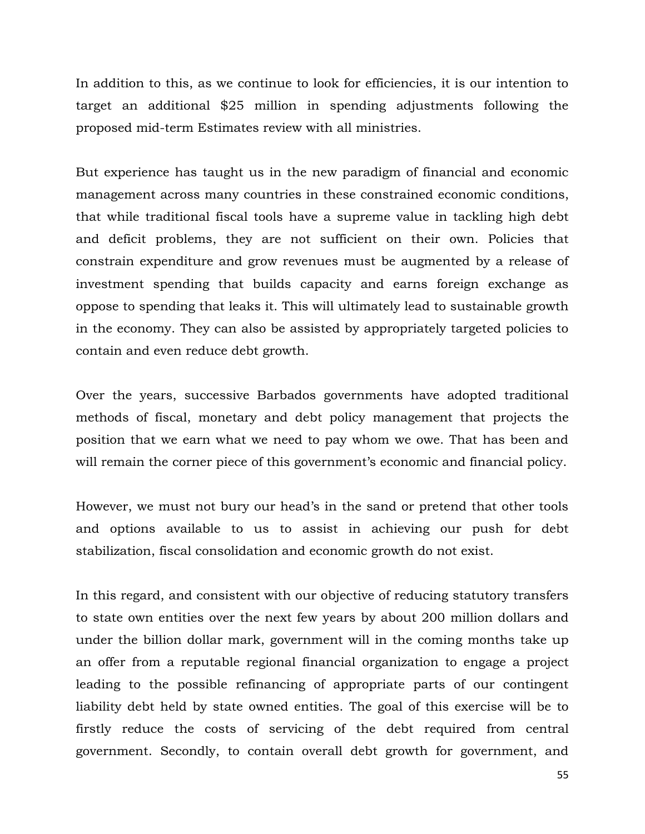In addition to this, as we continue to look for efficiencies, it is our intention to target an additional \$25 million in spending adjustments following the proposed mid-term Estimates review with all ministries.

But experience has taught us in the new paradigm of financial and economic management across many countries in these constrained economic conditions, that while traditional fiscal tools have a supreme value in tackling high debt and deficit problems, they are not sufficient on their own. Policies that constrain expenditure and grow revenues must be augmented by a release of investment spending that builds capacity and earns foreign exchange as oppose to spending that leaks it. This will ultimately lead to sustainable growth in the economy. They can also be assisted by appropriately targeted policies to contain and even reduce debt growth.

Over the years, successive Barbados governments have adopted traditional methods of fiscal, monetary and debt policy management that projects the position that we earn what we need to pay whom we owe. That has been and will remain the corner piece of this government's economic and financial policy.

However, we must not bury our head's in the sand or pretend that other tools and options available to us to assist in achieving our push for debt stabilization, fiscal consolidation and economic growth do not exist.

In this regard, and consistent with our objective of reducing statutory transfers to state own entities over the next few years by about 200 million dollars and under the billion dollar mark, government will in the coming months take up an offer from a reputable regional financial organization to engage a project leading to the possible refinancing of appropriate parts of our contingent liability debt held by state owned entities. The goal of this exercise will be to firstly reduce the costs of servicing of the debt required from central government. Secondly, to contain overall debt growth for government, and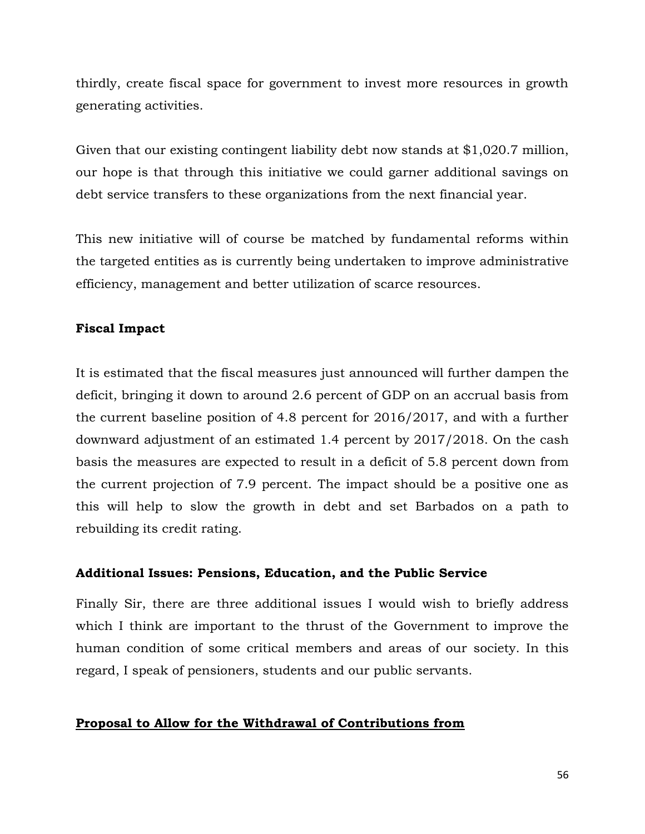thirdly, create fiscal space for government to invest more resources in growth generating activities.

Given that our existing contingent liability debt now stands at \$1,020.7 million, our hope is that through this initiative we could garner additional savings on debt service transfers to these organizations from the next financial year.

This new initiative will of course be matched by fundamental reforms within the targeted entities as is currently being undertaken to improve administrative efficiency, management and better utilization of scarce resources.

# **Fiscal Impact**

It is estimated that the fiscal measures just announced will further dampen the deficit, bringing it down to around 2.6 percent of GDP on an accrual basis from the current baseline position of 4.8 percent for 2016/2017, and with a further downward adjustment of an estimated 1.4 percent by 2017/2018. On the cash basis the measures are expected to result in a deficit of 5.8 percent down from the current projection of 7.9 percent. The impact should be a positive one as this will help to slow the growth in debt and set Barbados on a path to rebuilding its credit rating.

## **Additional Issues: Pensions, Education, and the Public Service**

Finally Sir, there are three additional issues I would wish to briefly address which I think are important to the thrust of the Government to improve the human condition of some critical members and areas of our society. In this regard, I speak of pensioners, students and our public servants.

## **Proposal to Allow for the Withdrawal of Contributions from**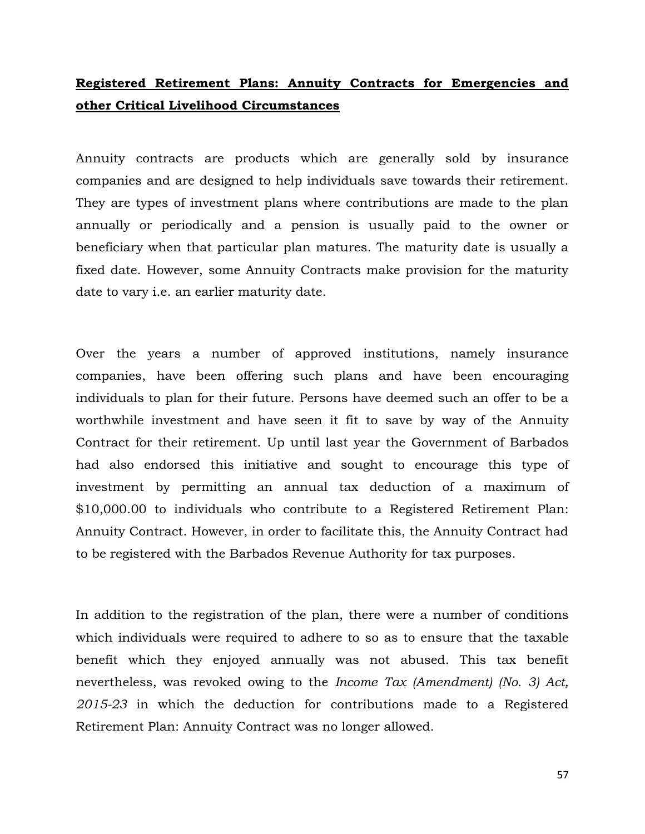# **Registered Retirement Plans: Annuity Contracts for Emergencies and other Critical Livelihood Circumstances**

Annuity contracts are products which are generally sold by insurance companies and are designed to help individuals save towards their retirement. They are types of investment plans where contributions are made to the plan annually or periodically and a pension is usually paid to the owner or beneficiary when that particular plan matures. The maturity date is usually a fixed date. However, some Annuity Contracts make provision for the maturity date to vary i.e. an earlier maturity date.

Over the years a number of approved institutions, namely insurance companies, have been offering such plans and have been encouraging individuals to plan for their future. Persons have deemed such an offer to be a worthwhile investment and have seen it fit to save by way of the Annuity Contract for their retirement. Up until last year the Government of Barbados had also endorsed this initiative and sought to encourage this type of investment by permitting an annual tax deduction of a maximum of \$10,000.00 to individuals who contribute to a Registered Retirement Plan: Annuity Contract. However, in order to facilitate this, the Annuity Contract had to be registered with the Barbados Revenue Authority for tax purposes.

In addition to the registration of the plan, there were a number of conditions which individuals were required to adhere to so as to ensure that the taxable benefit which they enjoyed annually was not abused. This tax benefit nevertheless, was revoked owing to the *Income Tax (Amendment) (No. 3) Act, 2015-23* in which the deduction for contributions made to a Registered Retirement Plan: Annuity Contract was no longer allowed.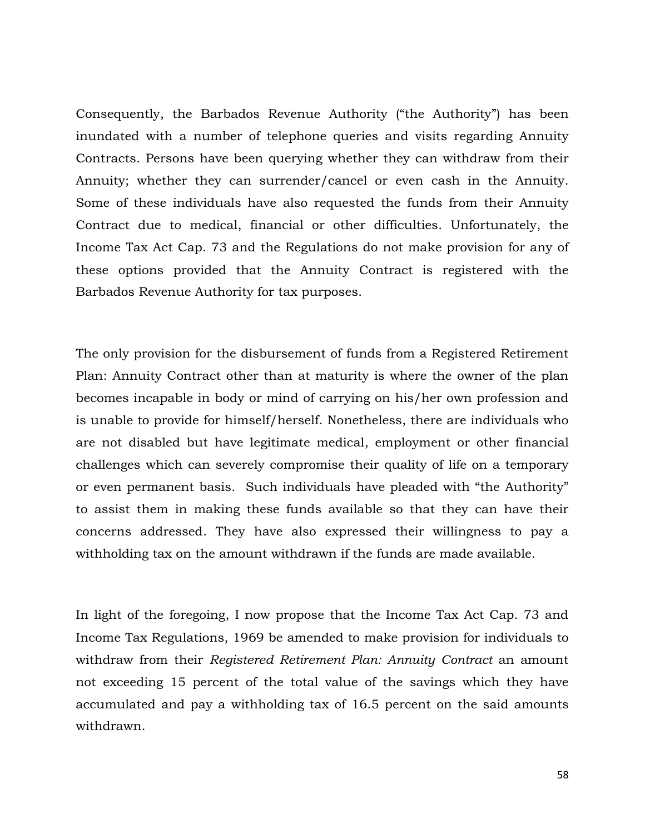Consequently, the Barbados Revenue Authority ("the Authority") has been inundated with a number of telephone queries and visits regarding Annuity Contracts. Persons have been querying whether they can withdraw from their Annuity; whether they can surrender/cancel or even cash in the Annuity. Some of these individuals have also requested the funds from their Annuity Contract due to medical, financial or other difficulties. Unfortunately, the Income Tax Act Cap. 73 and the Regulations do not make provision for any of these options provided that the Annuity Contract is registered with the Barbados Revenue Authority for tax purposes.

The only provision for the disbursement of funds from a Registered Retirement Plan: Annuity Contract other than at maturity is where the owner of the plan becomes incapable in body or mind of carrying on his/her own profession and is unable to provide for himself/herself. Nonetheless, there are individuals who are not disabled but have legitimate medical, employment or other financial challenges which can severely compromise their quality of life on a temporary or even permanent basis. Such individuals have pleaded with "the Authority" to assist them in making these funds available so that they can have their concerns addressed. They have also expressed their willingness to pay a withholding tax on the amount withdrawn if the funds are made available.

In light of the foregoing, I now propose that the Income Tax Act Cap. 73 and Income Tax Regulations, 1969 be amended to make provision for individuals to withdraw from their *Registered Retirement Plan: Annuity Contract* an amount not exceeding 15 percent of the total value of the savings which they have accumulated and pay a withholding tax of 16.5 percent on the said amounts withdrawn.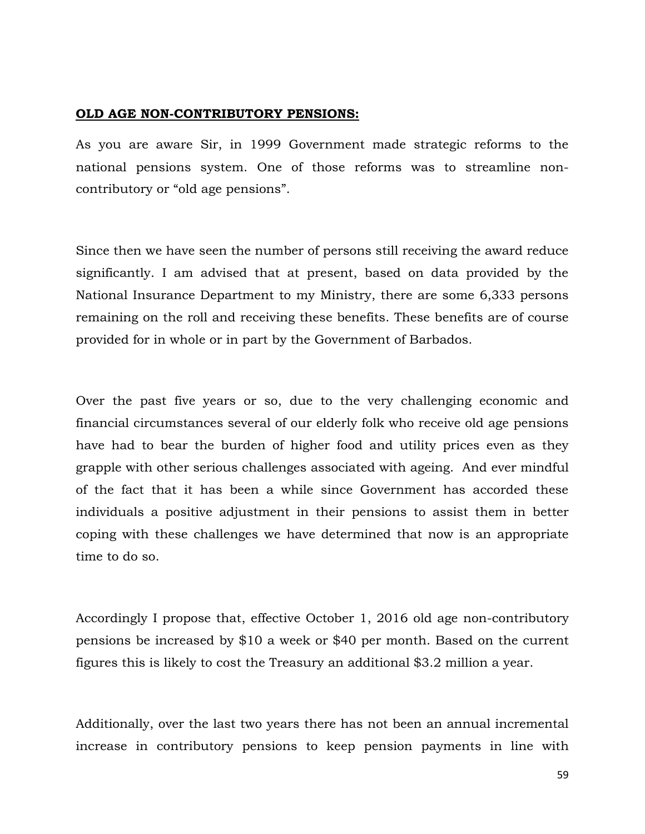#### **OLD AGE NON-CONTRIBUTORY PENSIONS:**

As you are aware Sir, in 1999 Government made strategic reforms to the national pensions system. One of those reforms was to streamline noncontributory or "old age pensions".

Since then we have seen the number of persons still receiving the award reduce significantly. I am advised that at present, based on data provided by the National Insurance Department to my Ministry, there are some 6,333 persons remaining on the roll and receiving these benefits. These benefits are of course provided for in whole or in part by the Government of Barbados.

Over the past five years or so, due to the very challenging economic and financial circumstances several of our elderly folk who receive old age pensions have had to bear the burden of higher food and utility prices even as they grapple with other serious challenges associated with ageing. And ever mindful of the fact that it has been a while since Government has accorded these individuals a positive adjustment in their pensions to assist them in better coping with these challenges we have determined that now is an appropriate time to do so.

Accordingly I propose that, effective October 1, 2016 old age non-contributory pensions be increased by \$10 a week or \$40 per month. Based on the current figures this is likely to cost the Treasury an additional \$3.2 million a year.

Additionally, over the last two years there has not been an annual incremental increase in contributory pensions to keep pension payments in line with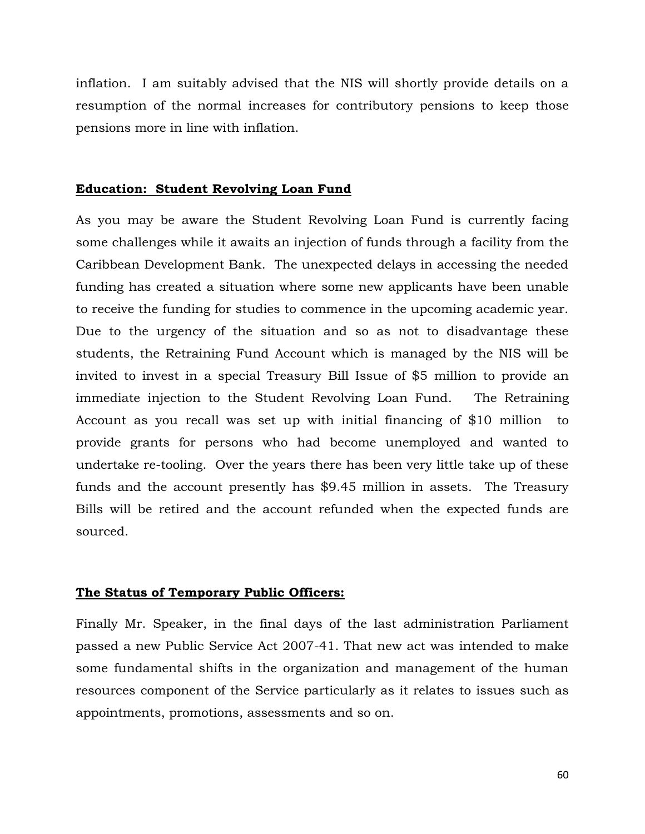inflation. I am suitably advised that the NIS will shortly provide details on a resumption of the normal increases for contributory pensions to keep those pensions more in line with inflation.

#### **Education: Student Revolving Loan Fund**

As you may be aware the Student Revolving Loan Fund is currently facing some challenges while it awaits an injection of funds through a facility from the Caribbean Development Bank. The unexpected delays in accessing the needed funding has created a situation where some new applicants have been unable to receive the funding for studies to commence in the upcoming academic year. Due to the urgency of the situation and so as not to disadvantage these students, the Retraining Fund Account which is managed by the NIS will be invited to invest in a special Treasury Bill Issue of \$5 million to provide an immediate injection to the Student Revolving Loan Fund. The Retraining Account as you recall was set up with initial financing of \$10 million to provide grants for persons who had become unemployed and wanted to undertake re-tooling. Over the years there has been very little take up of these funds and the account presently has \$9.45 million in assets. The Treasury Bills will be retired and the account refunded when the expected funds are sourced.

## **The Status of Temporary Public Officers:**

Finally Mr. Speaker, in the final days of the last administration Parliament passed a new Public Service Act 2007-41. That new act was intended to make some fundamental shifts in the organization and management of the human resources component of the Service particularly as it relates to issues such as appointments, promotions, assessments and so on.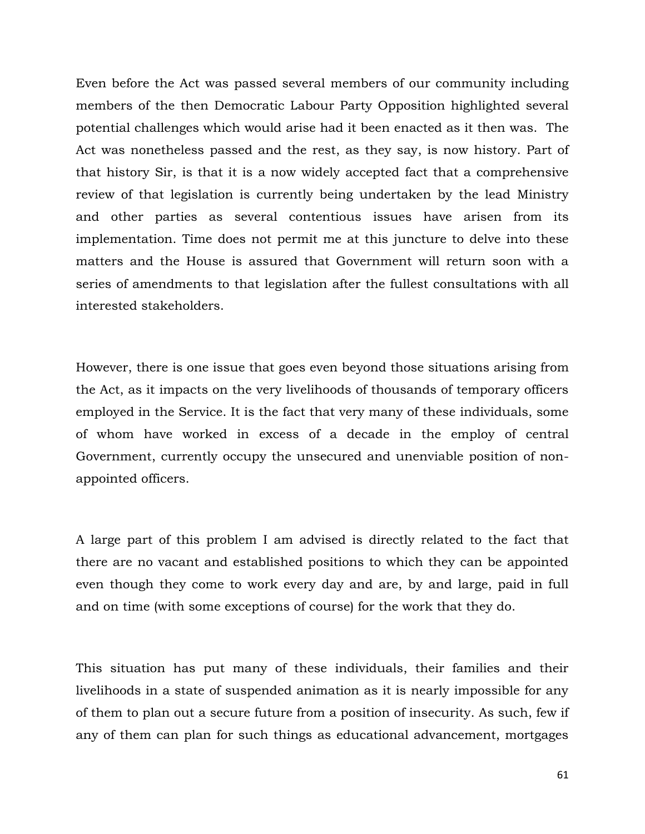Even before the Act was passed several members of our community including members of the then Democratic Labour Party Opposition highlighted several potential challenges which would arise had it been enacted as it then was. The Act was nonetheless passed and the rest, as they say, is now history. Part of that history Sir, is that it is a now widely accepted fact that a comprehensive review of that legislation is currently being undertaken by the lead Ministry and other parties as several contentious issues have arisen from its implementation. Time does not permit me at this juncture to delve into these matters and the House is assured that Government will return soon with a series of amendments to that legislation after the fullest consultations with all interested stakeholders.

However, there is one issue that goes even beyond those situations arising from the Act, as it impacts on the very livelihoods of thousands of temporary officers employed in the Service. It is the fact that very many of these individuals, some of whom have worked in excess of a decade in the employ of central Government, currently occupy the unsecured and unenviable position of nonappointed officers.

A large part of this problem I am advised is directly related to the fact that there are no vacant and established positions to which they can be appointed even though they come to work every day and are, by and large, paid in full and on time (with some exceptions of course) for the work that they do.

This situation has put many of these individuals, their families and their livelihoods in a state of suspended animation as it is nearly impossible for any of them to plan out a secure future from a position of insecurity. As such, few if any of them can plan for such things as educational advancement, mortgages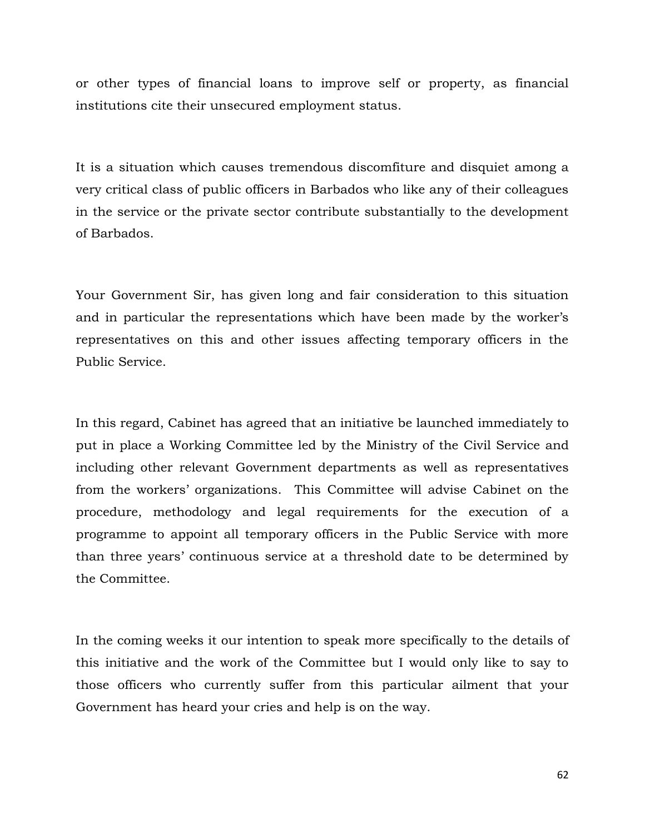or other types of financial loans to improve self or property, as financial institutions cite their unsecured employment status.

It is a situation which causes tremendous discomfiture and disquiet among a very critical class of public officers in Barbados who like any of their colleagues in the service or the private sector contribute substantially to the development of Barbados.

Your Government Sir, has given long and fair consideration to this situation and in particular the representations which have been made by the worker's representatives on this and other issues affecting temporary officers in the Public Service.

In this regard, Cabinet has agreed that an initiative be launched immediately to put in place a Working Committee led by the Ministry of the Civil Service and including other relevant Government departments as well as representatives from the workers' organizations. This Committee will advise Cabinet on the procedure, methodology and legal requirements for the execution of a programme to appoint all temporary officers in the Public Service with more than three years' continuous service at a threshold date to be determined by the Committee.

In the coming weeks it our intention to speak more specifically to the details of this initiative and the work of the Committee but I would only like to say to those officers who currently suffer from this particular ailment that your Government has heard your cries and help is on the way.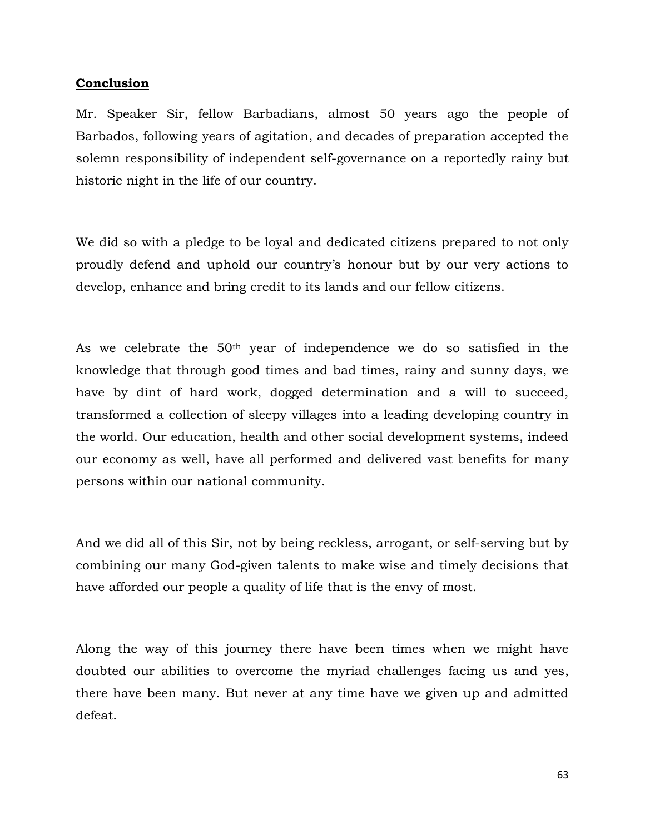# **Conclusion**

Mr. Speaker Sir, fellow Barbadians, almost 50 years ago the people of Barbados, following years of agitation, and decades of preparation accepted the solemn responsibility of independent self-governance on a reportedly rainy but historic night in the life of our country.

We did so with a pledge to be loyal and dedicated citizens prepared to not only proudly defend and uphold our country's honour but by our very actions to develop, enhance and bring credit to its lands and our fellow citizens.

As we celebrate the 50th year of independence we do so satisfied in the knowledge that through good times and bad times, rainy and sunny days, we have by dint of hard work, dogged determination and a will to succeed, transformed a collection of sleepy villages into a leading developing country in the world. Our education, health and other social development systems, indeed our economy as well, have all performed and delivered vast benefits for many persons within our national community.

And we did all of this Sir, not by being reckless, arrogant, or self-serving but by combining our many God-given talents to make wise and timely decisions that have afforded our people a quality of life that is the envy of most.

Along the way of this journey there have been times when we might have doubted our abilities to overcome the myriad challenges facing us and yes, there have been many. But never at any time have we given up and admitted defeat.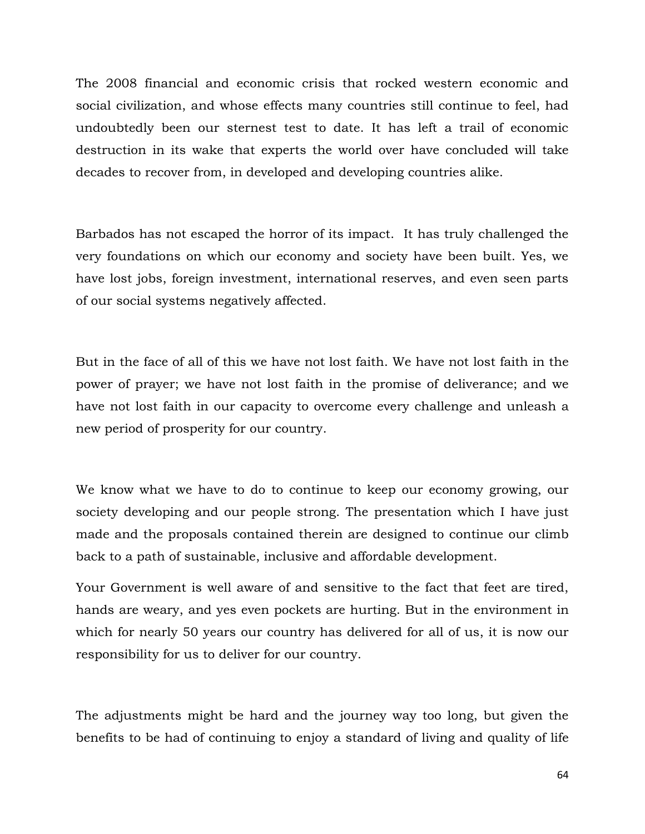The 2008 financial and economic crisis that rocked western economic and social civilization, and whose effects many countries still continue to feel, had undoubtedly been our sternest test to date. It has left a trail of economic destruction in its wake that experts the world over have concluded will take decades to recover from, in developed and developing countries alike.

Barbados has not escaped the horror of its impact. It has truly challenged the very foundations on which our economy and society have been built. Yes, we have lost jobs, foreign investment, international reserves, and even seen parts of our social systems negatively affected.

But in the face of all of this we have not lost faith. We have not lost faith in the power of prayer; we have not lost faith in the promise of deliverance; and we have not lost faith in our capacity to overcome every challenge and unleash a new period of prosperity for our country.

We know what we have to do to continue to keep our economy growing, our society developing and our people strong. The presentation which I have just made and the proposals contained therein are designed to continue our climb back to a path of sustainable, inclusive and affordable development.

Your Government is well aware of and sensitive to the fact that feet are tired, hands are weary, and yes even pockets are hurting. But in the environment in which for nearly 50 years our country has delivered for all of us, it is now our responsibility for us to deliver for our country.

The adjustments might be hard and the journey way too long, but given the benefits to be had of continuing to enjoy a standard of living and quality of life